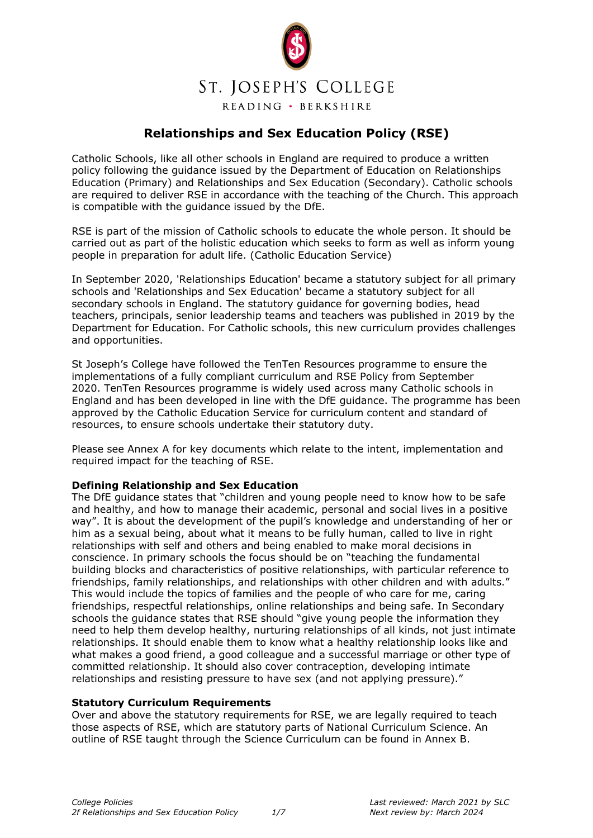

## **Relationships and Sex Education Policy (RSE)**

Catholic Schools, like all other schools in England are required to produce a written policy following the guidance issued by the Department of Education on Relationships Education (Primary) and Relationships and Sex Education (Secondary). Catholic schools are required to deliver RSE in accordance with the teaching of the Church. This approach is compatible with the guidance issued by the DfE.

RSE is part of the mission of Catholic schools to educate the whole person. It should be carried out as part of the holistic education which seeks to form as well as inform young people in preparation for adult life. (Catholic Education Service)

In September 2020, 'Relationships Education' became a statutory subject for all primary schools and 'Relationships and Sex Education' became a statutory subject for all secondary schools in England. The statutory guidance for governing bodies, head teachers, principals, senior leadership teams and teachers was published in 2019 by the Department for Education. For Catholic schools, this new curriculum provides challenges and opportunities.

St Joseph's College have followed the TenTen Resources programme to ensure the implementations of a fully compliant curriculum and RSE Policy from September 2020. TenTen Resources programme is widely used across many Catholic schools in England and has been developed in line with the DfE guidance. The programme has been approved by the Catholic Education Service for curriculum content and standard of resources, to ensure schools undertake their statutory duty.

Please see Annex A for key documents which relate to the intent, implementation and required impact for the teaching of RSE.

#### **Defining Relationship and Sex Education**

The DfE guidance states that "children and young people need to know how to be safe and healthy, and how to manage their academic, personal and social lives in a positive way". It is about the development of the pupil's knowledge and understanding of her or him as a sexual being, about what it means to be fully human, called to live in right relationships with self and others and being enabled to make moral decisions in conscience. In primary schools the focus should be on "teaching the fundamental building blocks and characteristics of positive relationships, with particular reference to friendships, family relationships, and relationships with other children and with adults." This would include the topics of families and the people of who care for me, caring friendships, respectful relationships, online relationships and being safe. In Secondary schools the guidance states that RSE should "give young people the information they need to help them develop healthy, nurturing relationships of all kinds, not just intimate relationships. It should enable them to know what a healthy relationship looks like and what makes a good friend, a good colleague and a successful marriage or other type of committed relationship. It should also cover contraception, developing intimate relationships and resisting pressure to have sex (and not applying pressure)."

#### **Statutory Curriculum Requirements**

Over and above the statutory requirements for RSE, we are legally required to teach those aspects of RSE, which are statutory parts of National Curriculum Science. An outline of RSE taught through the Science Curriculum can be found in Annex B.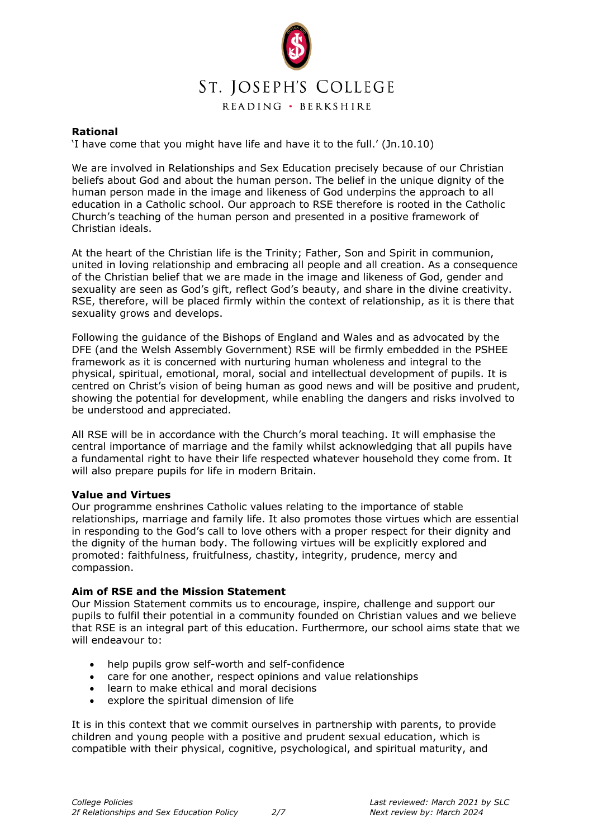

### **Rational**

'I have come that you might have life and have it to the full.' (Jn.10.10)

We are involved in Relationships and Sex Education precisely because of our Christian beliefs about God and about the human person. The belief in the unique dignity of the human person made in the image and likeness of God underpins the approach to all education in a Catholic school. Our approach to RSE therefore is rooted in the Catholic Church's teaching of the human person and presented in a positive framework of Christian ideals.

At the heart of the Christian life is the Trinity; Father, Son and Spirit in communion, united in loving relationship and embracing all people and all creation. As a consequence of the Christian belief that we are made in the image and likeness of God, gender and sexuality are seen as God's gift, reflect God's beauty, and share in the divine creativity. RSE, therefore, will be placed firmly within the context of relationship, as it is there that sexuality grows and develops.

Following the guidance of the Bishops of England and Wales and as advocated by the DFE (and the Welsh Assembly Government) RSE will be firmly embedded in the PSHEE framework as it is concerned with nurturing human wholeness and integral to the physical, spiritual, emotional, moral, social and intellectual development of pupils. It is centred on Christ's vision of being human as good news and will be positive and prudent, showing the potential for development, while enabling the dangers and risks involved to be understood and appreciated.

All RSE will be in accordance with the Church's moral teaching. It will emphasise the central importance of marriage and the family whilst acknowledging that all pupils have a fundamental right to have their life respected whatever household they come from. It will also prepare pupils for life in modern Britain.

#### **Value and Virtues**

Our programme enshrines Catholic values relating to the importance of stable relationships, marriage and family life. It also promotes those virtues which are essential in responding to the God's call to love others with a proper respect for their dignity and the dignity of the human body. The following virtues will be explicitly explored and promoted: faithfulness, fruitfulness, chastity, integrity, prudence, mercy and compassion.

#### **Aim of RSE and the Mission Statement**

Our Mission Statement commits us to encourage, inspire, challenge and support our pupils to fulfil their potential in a community founded on Christian values and we believe that RSE is an integral part of this education. Furthermore, our school aims state that we will endeavour to:

- help pupils grow self-worth and self-confidence
- care for one another, respect opinions and value relationships
- learn to make ethical and moral decisions
- explore the spiritual dimension of life

It is in this context that we commit ourselves in partnership with parents, to provide children and young people with a positive and prudent sexual education, which is compatible with their physical, cognitive, psychological, and spiritual maturity, and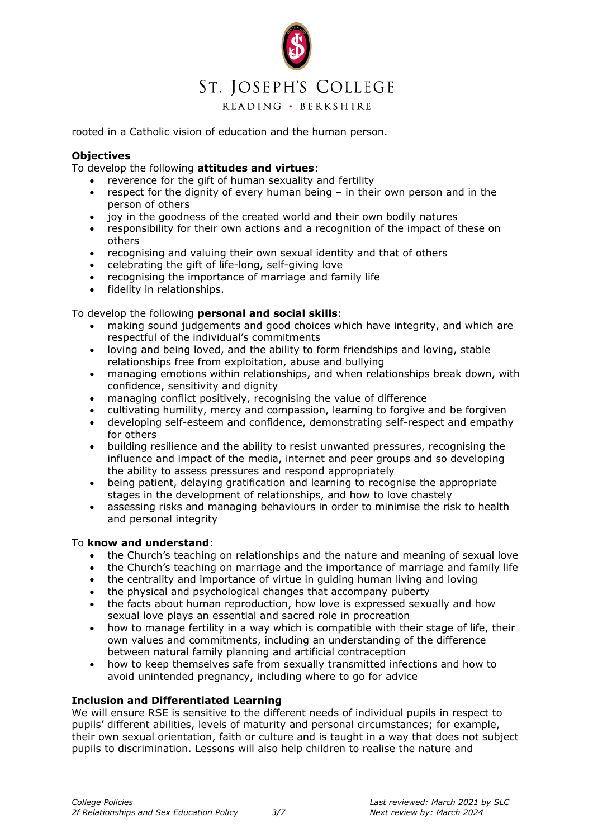

rooted in a Catholic vision of education and the human person.

### **Objectives**

To develop the following **attitudes and virtues**:

- reverence for the gift of human sexuality and fertility
- respect for the dignity of every human being  $-$  in their own person and in the person of others
- joy in the goodness of the created world and their own bodily natures
- responsibility for their own actions and a recognition of the impact of these on others
- recognising and valuing their own sexual identity and that of others
- celebrating the gift of life-long, self-giving love
- recognising the importance of marriage and family life
- fidelity in relationships.

To develop the following **personal and social skills**:

- making sound judgements and good choices which have integrity, and which are respectful of the individual's commitments
- loving and being loved, and the ability to form friendships and loving, stable relationships free from exploitation, abuse and bullying
- managing emotions within relationships, and when relationships break down, with confidence, sensitivity and dignity
- managing conflict positively, recognising the value of difference
- cultivating humility, mercy and compassion, learning to forgive and be forgiven
- developing self-esteem and confidence, demonstrating self-respect and empathy for others
- building resilience and the ability to resist unwanted pressures, recognising the influence and impact of the media, internet and peer groups and so developing the ability to assess pressures and respond appropriately
- being patient, delaying gratification and learning to recognise the appropriate stages in the development of relationships, and how to love chastely
- assessing risks and managing behaviours in order to minimise the risk to health and personal integrity

#### To **know and understand**:

- the Church's teaching on relationships and the nature and meaning of sexual love
- the Church's teaching on marriage and the importance of marriage and family life
- the centrality and importance of virtue in guiding human living and loving
- the physical and psychological changes that accompany puberty
- the facts about human reproduction, how love is expressed sexually and how sexual love plays an essential and sacred role in procreation
- how to manage fertility in a way which is compatible with their stage of life, their own values and commitments, including an understanding of the difference between natural family planning and artificial contraception
- how to keep themselves safe from sexually transmitted infections and how to avoid unintended pregnancy, including where to go for advice

## **Inclusion and Differentiated Learning**

We will ensure RSE is sensitive to the different needs of individual pupils in respect to pupils' different abilities, levels of maturity and personal circumstances; for example, their own sexual orientation, faith or culture and is taught in a way that does not subject pupils to discrimination. Lessons will also help children to realise the nature and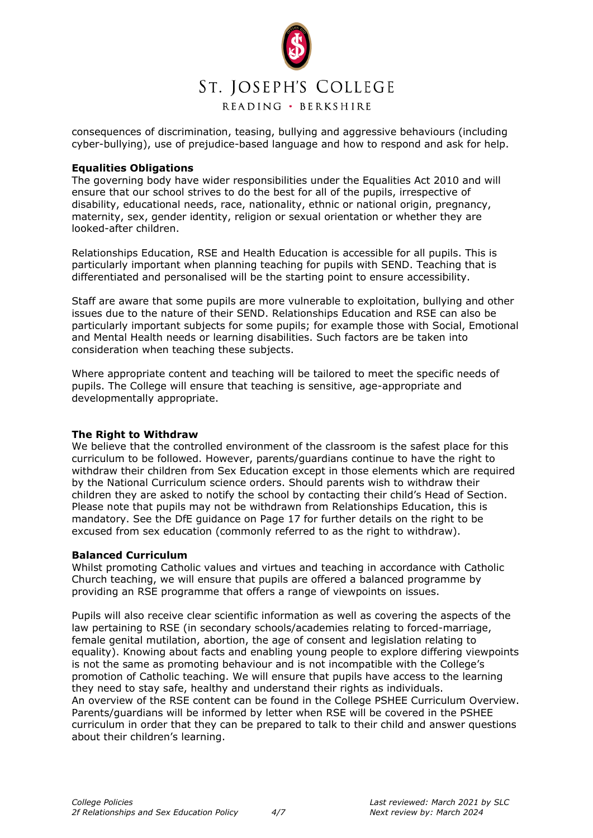

consequences of discrimination, teasing, bullying and aggressive behaviours (including cyber-bullying), use of prejudice-based language and how to respond and ask for help.

#### **Equalities Obligations**

The governing body have wider responsibilities under the Equalities Act 2010 and will ensure that our school strives to do the best for all of the pupils, irrespective of disability, educational needs, race, nationality, ethnic or national origin, pregnancy, maternity, sex, gender identity, religion or sexual orientation or whether they are looked-after children.

Relationships Education, RSE and Health Education is accessible for all pupils. This is particularly important when planning teaching for pupils with SEND. Teaching that is differentiated and personalised will be the starting point to ensure accessibility.

Staff are aware that some pupils are more vulnerable to exploitation, bullying and other issues due to the nature of their SEND. Relationships Education and RSE can also be particularly important subjects for some pupils; for example those with Social, Emotional and Mental Health needs or learning disabilities. Such factors are be taken into consideration when teaching these subjects.

Where appropriate content and teaching will be tailored to meet the specific needs of pupils. The College will ensure that teaching is sensitive, age-appropriate and developmentally appropriate.

## **The Right to Withdraw**

We believe that the controlled environment of the classroom is the safest place for this curriculum to be followed. However, parents/guardians continue to have the right to withdraw their children from Sex Education except in those elements which are required by the National Curriculum science orders. Should parents wish to withdraw their children they are asked to notify the school by contacting their child's Head of Section. Please note that pupils may not be withdrawn from Relationships Education, this is mandatory. See the DfE guidance on Page 17 for further details on the right to be excused from sex education (commonly referred to as the right to withdraw).

#### **Balanced Curriculum**

Whilst promoting Catholic values and virtues and teaching in accordance with Catholic Church teaching, we will ensure that pupils are offered a balanced programme by providing an RSE programme that offers a range of viewpoints on issues.

Pupils will also receive clear scientific information as well as covering the aspects of the law pertaining to RSE (in secondary schools/academies relating to forced-marriage, female genital mutilation, abortion, the age of consent and legislation relating to equality). Knowing about facts and enabling young people to explore differing viewpoints is not the same as promoting behaviour and is not incompatible with the College's promotion of Catholic teaching. We will ensure that pupils have access to the learning they need to stay safe, healthy and understand their rights as individuals. An overview of the RSE content can be found in the College PSHEE Curriculum Overview. Parents/guardians will be informed by letter when RSE will be covered in the PSHEE curriculum in order that they can be prepared to talk to their child and answer questions about their children's learning.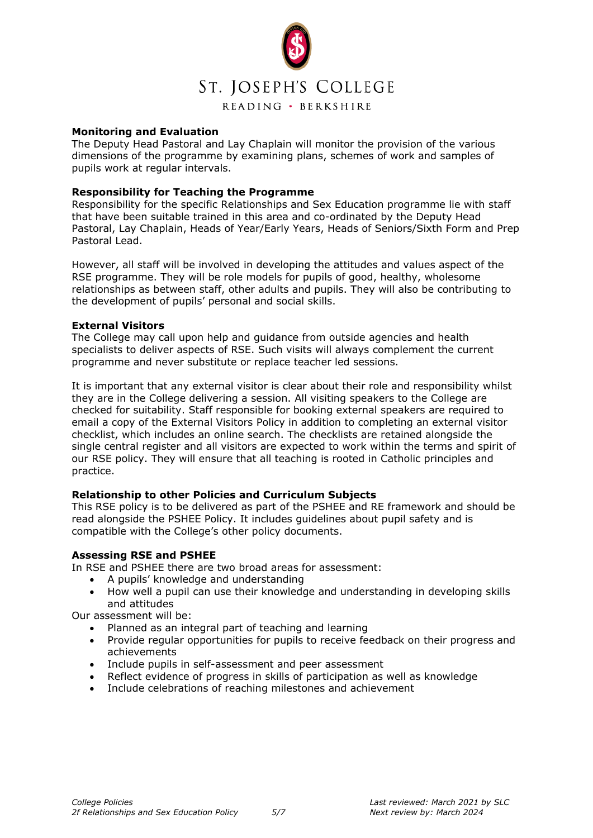

#### **Monitoring and Evaluation**

The Deputy Head Pastoral and Lay Chaplain will monitor the provision of the various dimensions of the programme by examining plans, schemes of work and samples of pupils work at regular intervals.

#### **Responsibility for Teaching the Programme**

Responsibility for the specific Relationships and Sex Education programme lie with staff that have been suitable trained in this area and co-ordinated by the Deputy Head Pastoral, Lay Chaplain, Heads of Year/Early Years, Heads of Seniors/Sixth Form and Prep Pastoral Lead.

However, all staff will be involved in developing the attitudes and values aspect of the RSE programme. They will be role models for pupils of good, healthy, wholesome relationships as between staff, other adults and pupils. They will also be contributing to the development of pupils' personal and social skills.

#### **External Visitors**

The College may call upon help and guidance from outside agencies and health specialists to deliver aspects of RSE. Such visits will always complement the current programme and never substitute or replace teacher led sessions.

It is important that any external visitor is clear about their role and responsibility whilst they are in the College delivering a session. All visiting speakers to the College are checked for suitability. Staff responsible for booking external speakers are required to email a copy of the External Visitors Policy in addition to completing an external visitor checklist, which includes an online search. The checklists are retained alongside the single central register and all visitors are expected to work within the terms and spirit of our RSE policy. They will ensure that all teaching is rooted in Catholic principles and practice.

### **Relationship to other Policies and Curriculum Subjects**

This RSE policy is to be delivered as part of the PSHEE and RE framework and should be read alongside the PSHEE Policy. It includes guidelines about pupil safety and is compatible with the College's other policy documents.

#### **Assessing RSE and PSHEE**

In RSE and PSHEE there are two broad areas for assessment:

- A pupils' knowledge and understanding
- How well a pupil can use their knowledge and understanding in developing skills and attitudes

Our assessment will be:

- Planned as an integral part of teaching and learning
- Provide regular opportunities for pupils to receive feedback on their progress and achievements
- Include pupils in self-assessment and peer assessment
- Reflect evidence of progress in skills of participation as well as knowledge
- Include celebrations of reaching milestones and achievement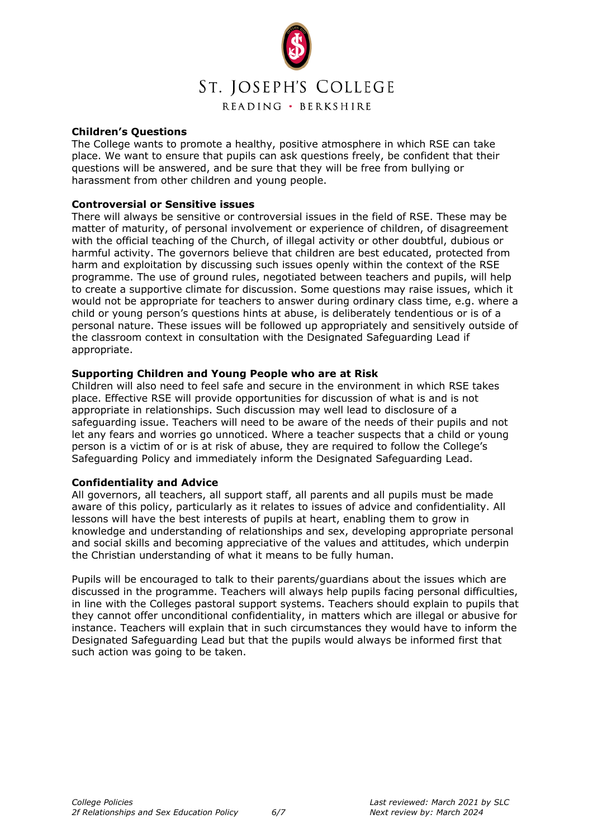

#### **Children's Questions**

The College wants to promote a healthy, positive atmosphere in which RSE can take place. We want to ensure that pupils can ask questions freely, be confident that their questions will be answered, and be sure that they will be free from bullying or harassment from other children and young people.

#### **Controversial or Sensitive issues**

There will always be sensitive or controversial issues in the field of RSE. These may be matter of maturity, of personal involvement or experience of children, of disagreement with the official teaching of the Church, of illegal activity or other doubtful, dubious or harmful activity. The governors believe that children are best educated, protected from harm and exploitation by discussing such issues openly within the context of the RSE programme. The use of ground rules, negotiated between teachers and pupils, will help to create a supportive climate for discussion. Some questions may raise issues, which it would not be appropriate for teachers to answer during ordinary class time, e.g. where a child or young person's questions hints at abuse, is deliberately tendentious or is of a personal nature. These issues will be followed up appropriately and sensitively outside of the classroom context in consultation with the Designated Safeguarding Lead if appropriate.

#### **Supporting Children and Young People who are at Risk**

Children will also need to feel safe and secure in the environment in which RSE takes place. Effective RSE will provide opportunities for discussion of what is and is not appropriate in relationships. Such discussion may well lead to disclosure of a safeguarding issue. Teachers will need to be aware of the needs of their pupils and not let any fears and worries go unnoticed. Where a teacher suspects that a child or young person is a victim of or is at risk of abuse, they are required to follow the College's Safeguarding Policy and immediately inform the Designated Safeguarding Lead.

#### **Confidentiality and Advice**

All governors, all teachers, all support staff, all parents and all pupils must be made aware of this policy, particularly as it relates to issues of advice and confidentiality. All lessons will have the best interests of pupils at heart, enabling them to grow in knowledge and understanding of relationships and sex, developing appropriate personal and social skills and becoming appreciative of the values and attitudes, which underpin the Christian understanding of what it means to be fully human.

Pupils will be encouraged to talk to their parents/guardians about the issues which are discussed in the programme. Teachers will always help pupils facing personal difficulties, in line with the Colleges pastoral support systems. Teachers should explain to pupils that they cannot offer unconditional confidentiality, in matters which are illegal or abusive for instance. Teachers will explain that in such circumstances they would have to inform the Designated Safeguarding Lead but that the pupils would always be informed first that such action was going to be taken.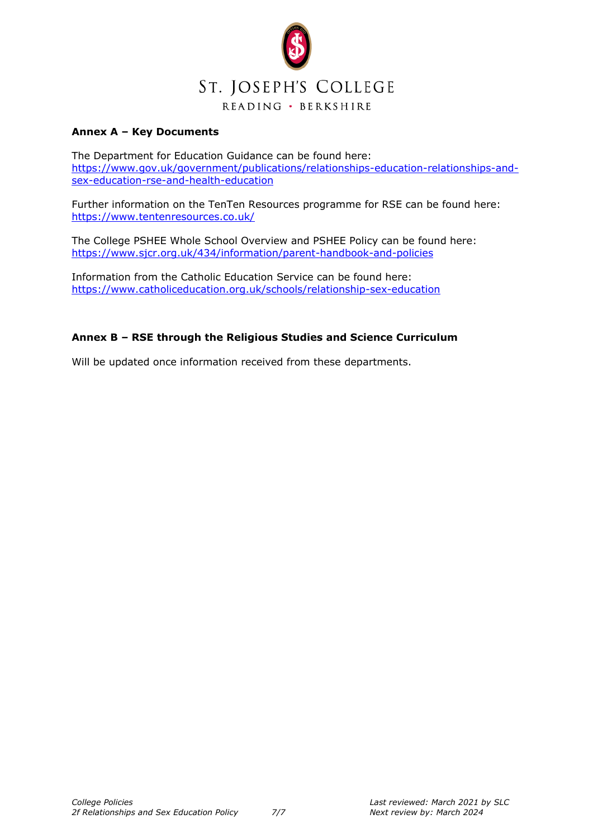

## **Annex A – Key Documents**

The Department for Education Guidance can be found here: [https://www.gov.uk/government/publications/relationships-education-relationships-and](https://www.gov.uk/government/publications/relationships-education-relationships-and-sex-education-rse-and-health-education)[sex-education-rse-and-health-education](https://www.gov.uk/government/publications/relationships-education-relationships-and-sex-education-rse-and-health-education)

Further information on the TenTen Resources programme for RSE can be found here: <https://www.tentenresources.co.uk/>

The College PSHEE Whole School Overview and PSHEE Policy can be found here: <https://www.sjcr.org.uk/434/information/parent-handbook-and-policies>

Information from the Catholic Education Service can be found here: <https://www.catholiceducation.org.uk/schools/relationship-sex-education>

### **Annex B – RSE through the Religious Studies and Science Curriculum**

Will be updated once information received from these departments.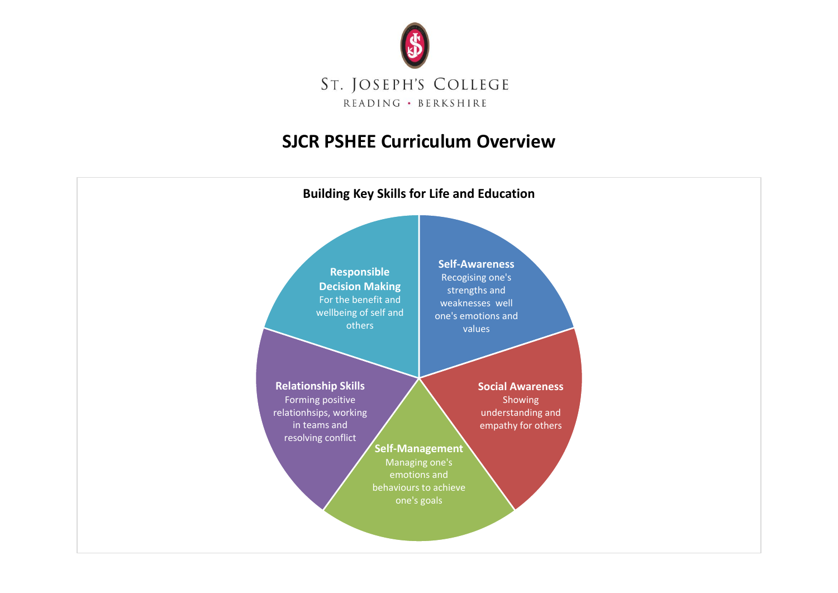

## **SJCR PSHEE Curriculum Overview**

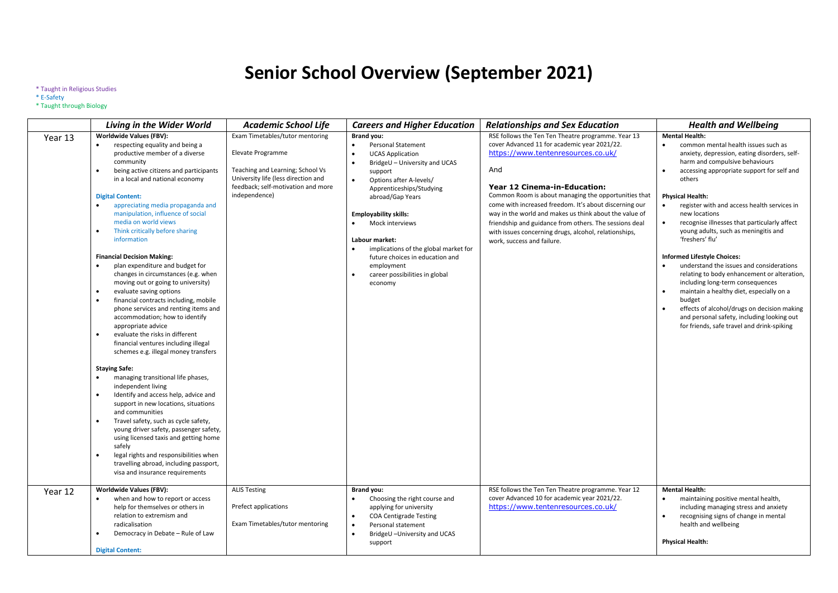# **Senior School Overview (September 2021)**

#### \* Taught in Religious Studies

#### \* E-Safety

#### \* Taught through Biology

|         | <b>Living in the Wider World</b>                                                                                                                                                                                                                                                                                                                                                                                                                                                                                                                                                                                                                                                                                                                                                                                                                                                                                                                                                                                                                                                                                                                                                                                                                                                                      | <b>Academic School Life</b>                                                                                                                                                            | <b>Careers and Higher Education</b>                                                                                                                                                                                                                                                                                                                                                                                                                                           | <b>Relationships and Sex Education</b>                                                                                                                                                                                                                                                                                                                                                                                                                                                                       | <b>Health and Wellbeing</b>                                                                                                                                                                                                                                                                                                                                                                                                                                                                                                                                                                                                                                                                                                                                                                                                                                      |
|---------|-------------------------------------------------------------------------------------------------------------------------------------------------------------------------------------------------------------------------------------------------------------------------------------------------------------------------------------------------------------------------------------------------------------------------------------------------------------------------------------------------------------------------------------------------------------------------------------------------------------------------------------------------------------------------------------------------------------------------------------------------------------------------------------------------------------------------------------------------------------------------------------------------------------------------------------------------------------------------------------------------------------------------------------------------------------------------------------------------------------------------------------------------------------------------------------------------------------------------------------------------------------------------------------------------------|----------------------------------------------------------------------------------------------------------------------------------------------------------------------------------------|-------------------------------------------------------------------------------------------------------------------------------------------------------------------------------------------------------------------------------------------------------------------------------------------------------------------------------------------------------------------------------------------------------------------------------------------------------------------------------|--------------------------------------------------------------------------------------------------------------------------------------------------------------------------------------------------------------------------------------------------------------------------------------------------------------------------------------------------------------------------------------------------------------------------------------------------------------------------------------------------------------|------------------------------------------------------------------------------------------------------------------------------------------------------------------------------------------------------------------------------------------------------------------------------------------------------------------------------------------------------------------------------------------------------------------------------------------------------------------------------------------------------------------------------------------------------------------------------------------------------------------------------------------------------------------------------------------------------------------------------------------------------------------------------------------------------------------------------------------------------------------|
| Year 13 | <b>Worldwide Values (FBV):</b><br>respecting equality and being a<br>productive member of a diverse<br>community<br>being active citizens and participants<br>in a local and national economy<br><b>Digital Content:</b><br>appreciating media propaganda and<br>manipulation, influence of social<br>media on world views<br>Think critically before sharing<br>information<br><b>Financial Decision Making:</b><br>plan expenditure and budget for<br>$\bullet$<br>changes in circumstances (e.g. when<br>moving out or going to university)<br>evaluate saving options<br>financial contracts including, mobile<br>phone services and renting items and<br>accommodation; how to identify<br>appropriate advice<br>evaluate the risks in different<br>$\bullet$<br>financial ventures including illegal<br>schemes e.g. illegal money transfers<br><b>Staying Safe:</b><br>managing transitional life phases,<br>independent living<br>Identify and access help, advice and<br>support in new locations, situations<br>and communities<br>Travel safety, such as cycle safety,<br>young driver safety, passenger safety,<br>using licensed taxis and getting home<br>safely<br>legal rights and responsibilities when<br>travelling abroad, including passport,<br>visa and insurance requirements | Exam Timetables/tutor mentoring<br>Elevate Programme<br>Teaching and Learning; School Vs<br>University life (less direction and<br>feedback; self-motivation and more<br>independence) | <b>Brand you:</b><br><b>Personal Statement</b><br>$\bullet$<br><b>UCAS Application</b><br>$\bullet$<br>BridgeU - University and UCAS<br>$\bullet$<br>support<br>$\bullet$<br>Options after A-levels/<br>Apprenticeships/Studying<br>abroad/Gap Years<br><b>Employability skills:</b><br>Mock interviews<br>Labour market:<br>implications of the global market for<br>future choices in education and<br>employment<br>career possibilities in global<br>$\bullet$<br>economy | RSE follows the Ten Ten Theatre programme. Year 13<br>cover Advanced 11 for academic year 2021/22.<br>https://www.tentenresources.co.uk/<br>And<br>Year 12 Cinema-in-Education:<br>Common Room is about managing the opportunities that<br>come with increased freedom. It's about discerning our<br>way in the world and makes us think about the value of<br>friendship and guidance from others. The sessions deal<br>with issues concerning drugs, alcohol, relationships,<br>work, success and failure. | <b>Mental Health:</b><br>common mental health issues such as<br>$\bullet$<br>anxiety, depression, eating disorders, self-<br>harm and compulsive behaviours<br>accessing appropriate support for self and<br>others<br><b>Physical Health:</b><br>$\bullet$<br>register with and access health services in<br>new locations<br>$\bullet$<br>recognise illnesses that particularly affect<br>young adults, such as meningitis and<br>'freshers' flu'<br><b>Informed Lifestyle Choices:</b><br>$\bullet$<br>understand the issues and considerations<br>relating to body enhancement or alteration,<br>including long-term consequences<br>maintain a healthy diet, especially on a<br>$\bullet$<br>budget<br>effects of alcohol/drugs on decision making<br>$\bullet$<br>and personal safety, including looking out<br>for friends, safe travel and drink-spiking |
| Year 12 | Worldwide Values (FBV):<br>when and how to report or access<br>help for themselves or others in<br>relation to extremism and<br>radicalisation<br>Democracy in Debate - Rule of Law                                                                                                                                                                                                                                                                                                                                                                                                                                                                                                                                                                                                                                                                                                                                                                                                                                                                                                                                                                                                                                                                                                                   | <b>ALIS Testing</b><br>Prefect applications<br>Exam Timetables/tutor mentoring                                                                                                         | Brand you:<br>$\bullet$<br>Choosing the right course and<br>applying for university<br><b>COA Centigrade Testing</b><br>$\bullet$<br>Personal statement<br>$\bullet$<br>$\bullet$<br>BridgeU-University and UCAS                                                                                                                                                                                                                                                              | RSE follows the Ten Ten Theatre programme. Year 12<br>cover Advanced 10 for academic year 2021/22.<br>https://www.tentenresources.co.uk/                                                                                                                                                                                                                                                                                                                                                                     | <b>Mental Health:</b><br>$\bullet$<br>maintaining positive mental health,<br>including managing stress and anxiety<br>recognising signs of change in mental<br>$\bullet$<br>health and wellbeing                                                                                                                                                                                                                                                                                                                                                                                                                                                                                                                                                                                                                                                                 |
|         | <b>Digital Content:</b>                                                                                                                                                                                                                                                                                                                                                                                                                                                                                                                                                                                                                                                                                                                                                                                                                                                                                                                                                                                                                                                                                                                                                                                                                                                                               |                                                                                                                                                                                        | support                                                                                                                                                                                                                                                                                                                                                                                                                                                                       |                                                                                                                                                                                                                                                                                                                                                                                                                                                                                                              | <b>Physical Health:</b>                                                                                                                                                                                                                                                                                                                                                                                                                                                                                                                                                                                                                                                                                                                                                                                                                                          |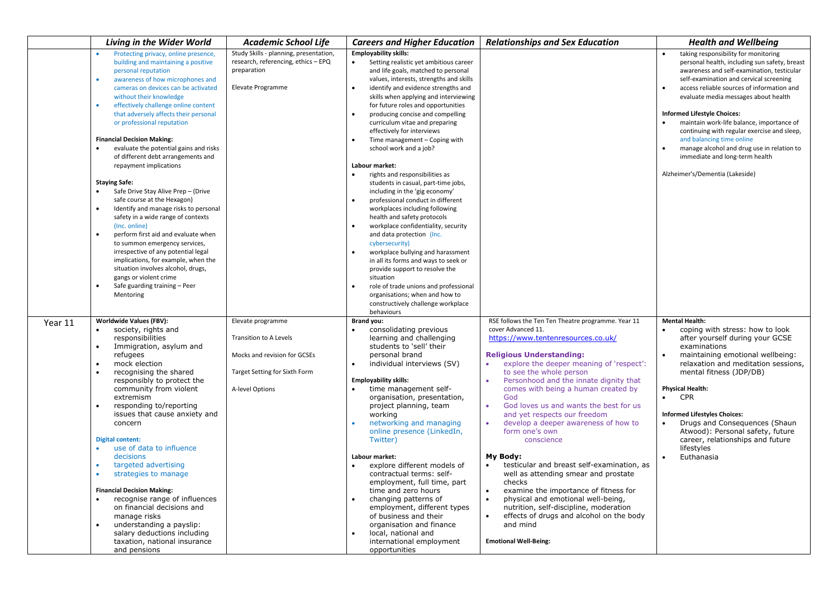|         | Living in the Wider World                                                                                                                                                                                                                                                                                                                                                                                                                                                                                                                                                                                                                                                                                                                                                                                                                                                                                                               | <b>Academic School Life</b>                                                                                                     | <b>Careers and Higher Education</b>                                                                                                                                                                                                                                                                                                                                                                                                                                                                                                                                                                                                                                                                                                                                                                                                                                                                                                                                                                                                                        | <b>Relationships and Sex Education</b>                                                                                                                                                                                                                                                                                                                                                                                                                                                                                                                                                                                                                                                                                                                                                                       | <b>Health and Wellbeing</b>                                                                                                                                                                                                                                                                                                                                                                                                                                                                                                                            |
|---------|-----------------------------------------------------------------------------------------------------------------------------------------------------------------------------------------------------------------------------------------------------------------------------------------------------------------------------------------------------------------------------------------------------------------------------------------------------------------------------------------------------------------------------------------------------------------------------------------------------------------------------------------------------------------------------------------------------------------------------------------------------------------------------------------------------------------------------------------------------------------------------------------------------------------------------------------|---------------------------------------------------------------------------------------------------------------------------------|------------------------------------------------------------------------------------------------------------------------------------------------------------------------------------------------------------------------------------------------------------------------------------------------------------------------------------------------------------------------------------------------------------------------------------------------------------------------------------------------------------------------------------------------------------------------------------------------------------------------------------------------------------------------------------------------------------------------------------------------------------------------------------------------------------------------------------------------------------------------------------------------------------------------------------------------------------------------------------------------------------------------------------------------------------|--------------------------------------------------------------------------------------------------------------------------------------------------------------------------------------------------------------------------------------------------------------------------------------------------------------------------------------------------------------------------------------------------------------------------------------------------------------------------------------------------------------------------------------------------------------------------------------------------------------------------------------------------------------------------------------------------------------------------------------------------------------------------------------------------------------|--------------------------------------------------------------------------------------------------------------------------------------------------------------------------------------------------------------------------------------------------------------------------------------------------------------------------------------------------------------------------------------------------------------------------------------------------------------------------------------------------------------------------------------------------------|
|         | Protecting privacy, online presence<br>building and maintaining a positive<br>personal reputation<br>awareness of how microphones and<br>cameras on devices can be activated<br>without their knowledge<br>effectively challenge online content<br>that adversely affects their personal<br>or professional reputation<br><b>Financial Decision Making:</b><br>evaluate the potential gains and risks<br>of different debt arrangements and<br>repayment implications<br><b>Staying Safe:</b><br>Safe Drive Stay Alive Prep - (Drive<br>safe course at the Hexagon)<br>Identify and manage risks to personal<br>safety in a wide range of contexts<br>(Inc. online)<br>perform first aid and evaluate when<br>to summon emergency services,<br>irrespective of any potential legal<br>implications, for example, when the<br>situation involves alcohol, drugs,<br>gangs or violent crime<br>Safe guarding training - Peer<br>Mentoring | Study Skills - planning, presentation,<br>research, referencing, ethics - EPQ<br>preparation<br>Elevate Programme               | <b>Employability skills:</b><br>Setting realistic yet ambitious career<br>$\bullet$<br>and life goals, matched to personal<br>values, interests, strengths and skills<br>identify and evidence strengths and<br>skills when applying and interviewing<br>for future roles and opportunities<br>producing concise and compelling<br>curriculum vitae and preparing<br>effectively for interviews<br>Time management - Coping with<br>school work and a job?<br>Labour market:<br>rights and responsibilities as<br>$\bullet$<br>students in casual, part-time jobs,<br>including in the 'gig economy'<br>professional conduct in different<br>workplaces including following<br>health and safety protocols<br>workplace confidentiality, security<br>and data protection (Inc.<br>cybersecurity)<br>workplace bullying and harassment<br>in all its forms and ways to seek or<br>provide support to resolve the<br>situation<br>role of trade unions and professional<br>$\bullet$<br>organisations; when and how to<br>constructively challenge workplace |                                                                                                                                                                                                                                                                                                                                                                                                                                                                                                                                                                                                                                                                                                                                                                                                              | taking responsibility for monitoring<br>personal health, including sun safety, breast<br>awareness and self-examination, testicular<br>self-examination and cervical screening<br>access reliable sources of information and<br>evaluate media messages about health<br><b>Informed Lifestyle Choices:</b><br>maintain work-life balance, importance of<br>continuing with regular exercise and sleep,<br>and balancing time online<br>manage alcohol and drug use in relation to<br>immediate and long-term health<br>Alzheimer's/Dementia (Lakeside) |
| Year 11 | Worldwide Values (FBV):<br>society, rights and<br>responsibilities<br>Immigration, asylum and<br>refugees<br>mock election<br>recognising the shared<br>responsibly to protect the<br>community from violent<br>extremism<br>responding to/reporting<br>issues that cause anxiety and<br>concern<br><b>Digital content:</b><br>use of data to influence<br>decisions<br>targeted advertising<br>strategies to manage<br><b>Financial Decision Making:</b><br>recognise range of influences<br>on financial decisions and<br>manage risks<br>understanding a payslip:<br>salary deductions including<br>taxation, national insurance<br>and pensions                                                                                                                                                                                                                                                                                     | Elevate programme<br>Transition to A Levels<br>Mocks and revision for GCSEs<br>Target Setting for Sixth Form<br>A-level Options | behaviours<br><b>Brand you:</b><br>consolidating previous<br>learning and challenging<br>students to 'sell' their<br>personal brand<br>individual interviews (SV)<br><b>Employability skills:</b><br>time management self-<br>$\bullet$<br>organisation, presentation,<br>project planning, team<br>working<br>networking and managing<br>online presence (LinkedIn,<br>Twitter)<br>Labour market:<br>explore different models of<br>contractual terms: self-<br>employment, full time, part<br>time and zero hours<br>changing patterns of<br>$\bullet$<br>employment, different types<br>of business and their<br>organisation and finance<br>local, national and<br>$\bullet$<br>international employment<br>opportunities                                                                                                                                                                                                                                                                                                                              | RSE follows the Ten Ten Theatre programme. Year 11<br>cover Advanced 11.<br>https://www.tentenresources.co.uk/<br><b>Religious Understanding:</b><br>explore the deeper meaning of 'respect':<br>to see the whole person<br>Personhood and the innate dignity that<br>comes with being a human created by<br>God<br>God loves us and wants the best for us<br>and yet respects our freedom<br>develop a deeper awareness of how to<br>form one's own<br>conscience<br>My Body:<br>testicular and breast self-examination, as<br>well as attending smear and prostate<br>checks<br>examine the importance of fitness for<br>physical and emotional well-being,<br>nutrition, self-discipline, moderation<br>effects of drugs and alcohol on the body<br>$\bullet$<br>and mind<br><b>Emotional Well-Being:</b> | <b>Mental Health:</b><br>coping with stress: how to look<br>$\bullet$<br>after yourself during your GCSE<br>examinations<br>maintaining emotional wellbeing:<br>relaxation and meditation sessions,<br>mental fitness (JDP/DB)<br><b>Physical Health:</b><br><b>CPR</b><br>$\bullet$<br><b>Informed Lifestyles Choices:</b><br>Drugs and Consequences (Shaun<br>Atwood): Personal safety, future<br>career, relationships and future<br>lifestyles<br>Euthanasia                                                                                       |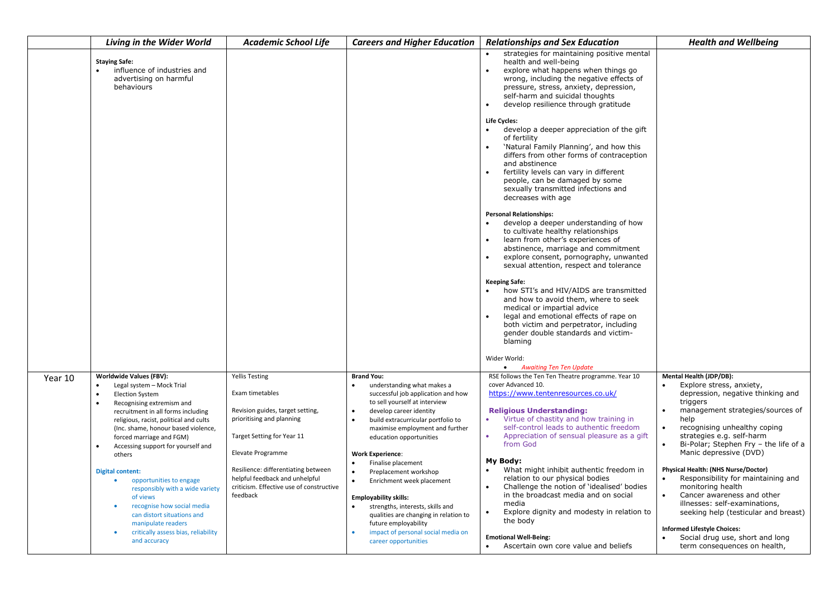|         | <b>Living in the Wider World</b>                                                                                                                                                                                                                                                                                                                                                                                                                                                                                                                                                                                                     | Academic School Life                                                                                                                                                                                                                                                                          | <b>Careers and Higher Education</b>                                                                                                                                                                                                                                                                                                                                                                                                                                                                                                                                                                                                           | <b>Relationships and Sex Education</b>                                                                                                                                                                                                                                                                                                                                                                                                                                                                                                                                                           | <b>Health and Wellbeing</b>                                                                                                                                                                                                                                                                                                                                                                                                                                                                                                                                                                                                                      |
|---------|--------------------------------------------------------------------------------------------------------------------------------------------------------------------------------------------------------------------------------------------------------------------------------------------------------------------------------------------------------------------------------------------------------------------------------------------------------------------------------------------------------------------------------------------------------------------------------------------------------------------------------------|-----------------------------------------------------------------------------------------------------------------------------------------------------------------------------------------------------------------------------------------------------------------------------------------------|-----------------------------------------------------------------------------------------------------------------------------------------------------------------------------------------------------------------------------------------------------------------------------------------------------------------------------------------------------------------------------------------------------------------------------------------------------------------------------------------------------------------------------------------------------------------------------------------------------------------------------------------------|--------------------------------------------------------------------------------------------------------------------------------------------------------------------------------------------------------------------------------------------------------------------------------------------------------------------------------------------------------------------------------------------------------------------------------------------------------------------------------------------------------------------------------------------------------------------------------------------------|--------------------------------------------------------------------------------------------------------------------------------------------------------------------------------------------------------------------------------------------------------------------------------------------------------------------------------------------------------------------------------------------------------------------------------------------------------------------------------------------------------------------------------------------------------------------------------------------------------------------------------------------------|
|         | <b>Staying Safe:</b><br>influence of industries and<br>advertising on harmful<br>behaviours                                                                                                                                                                                                                                                                                                                                                                                                                                                                                                                                          |                                                                                                                                                                                                                                                                                               |                                                                                                                                                                                                                                                                                                                                                                                                                                                                                                                                                                                                                                               | strategies for maintaining positive mental<br>health and well-being<br>explore what happens when things go<br>wrong, including the negative effects of<br>pressure, stress, anxiety, depression,<br>self-harm and suicidal thoughts<br>develop resilience through gratitude                                                                                                                                                                                                                                                                                                                      |                                                                                                                                                                                                                                                                                                                                                                                                                                                                                                                                                                                                                                                  |
|         |                                                                                                                                                                                                                                                                                                                                                                                                                                                                                                                                                                                                                                      |                                                                                                                                                                                                                                                                                               |                                                                                                                                                                                                                                                                                                                                                                                                                                                                                                                                                                                                                                               | Life Cycles:<br>develop a deeper appreciation of the gift<br>of fertility<br>'Natural Family Planning', and how this<br>differs from other forms of contraception<br>and abstinence<br>fertility levels can vary in different<br>people, can be damaged by some<br>sexually transmitted infections and<br>decreases with age                                                                                                                                                                                                                                                                     |                                                                                                                                                                                                                                                                                                                                                                                                                                                                                                                                                                                                                                                  |
|         |                                                                                                                                                                                                                                                                                                                                                                                                                                                                                                                                                                                                                                      |                                                                                                                                                                                                                                                                                               |                                                                                                                                                                                                                                                                                                                                                                                                                                                                                                                                                                                                                                               | <b>Personal Relationships:</b><br>develop a deeper understanding of how<br>to cultivate healthy relationships<br>learn from other's experiences of<br>abstinence, marriage and commitment<br>explore consent, pornography, unwanted<br>sexual attention, respect and tolerance                                                                                                                                                                                                                                                                                                                   |                                                                                                                                                                                                                                                                                                                                                                                                                                                                                                                                                                                                                                                  |
|         |                                                                                                                                                                                                                                                                                                                                                                                                                                                                                                                                                                                                                                      |                                                                                                                                                                                                                                                                                               |                                                                                                                                                                                                                                                                                                                                                                                                                                                                                                                                                                                                                                               | <b>Keeping Safe:</b><br>how STI's and HIV/AIDS are transmitted<br>and how to avoid them, where to seek<br>medical or impartial advice<br>legal and emotional effects of rape on<br>both victim and perpetrator, including<br>gender double standards and victim-<br>blaming                                                                                                                                                                                                                                                                                                                      |                                                                                                                                                                                                                                                                                                                                                                                                                                                                                                                                                                                                                                                  |
|         |                                                                                                                                                                                                                                                                                                                                                                                                                                                                                                                                                                                                                                      |                                                                                                                                                                                                                                                                                               |                                                                                                                                                                                                                                                                                                                                                                                                                                                                                                                                                                                                                                               | Wider World:<br>• Awaiting Ten Ten Update                                                                                                                                                                                                                                                                                                                                                                                                                                                                                                                                                        |                                                                                                                                                                                                                                                                                                                                                                                                                                                                                                                                                                                                                                                  |
| Year 10 | <b>Worldwide Values (FBV):</b><br>Legal system - Mock Trial<br><b>Election System</b><br>$\bullet$<br>Recognising extremism and<br>$\bullet$<br>recruitment in all forms including<br>religious, racist, political and cults<br>(Inc. shame, honour based violence,<br>forced marriage and FGM)<br>Accessing support for yourself and<br>$\bullet$<br>others<br><b>Digital content:</b><br>opportunities to engage<br>responsibly with a wide variety<br>of views<br>recognise how social media<br>$\bullet$<br>can distort situations and<br>manipulate readers<br>critically assess bias, reliability<br>$\bullet$<br>and accuracy | <b>Yellis Testing</b><br>Exam timetables<br>Revision guides, target setting,<br>prioritising and planning<br>Target Setting for Year 11<br>Elevate Programme<br>Resilience: differentiating between<br>helpful feedback and unhelpful<br>criticism. Effective use of constructive<br>feedback | <b>Brand You:</b><br>understanding what makes a<br>$\bullet$<br>successful job application and how<br>to sell yourself at interview<br>develop career identity<br>$\bullet$<br>$\bullet$<br>build extracurricular portfolio to<br>maximise employment and further<br>education opportunities<br><b>Work Experience:</b><br>Finalise placement<br>$\bullet$<br>$\bullet$<br>Preplacement workshop<br>$\bullet$<br>Enrichment week placement<br><b>Employability skills:</b><br>strengths, interests, skills and<br>qualities are changing in relation to<br>future employability<br>impact of personal social media on<br>career opportunities | RSE follows the Ten Ten Theatre programme. Year 10<br>cover Advanced 10.<br>https://www.tentenresources.co.uk/<br><b>Religious Understanding:</b><br>Virtue of chastity and how training in<br>self-control leads to authentic freedom<br>Appreciation of sensual pleasure as a gift<br>from God<br>My Body:<br>What might inhibit authentic freedom in<br>relation to our physical bodies<br>Challenge the notion of 'idealised' bodies<br>in the broadcast media and on social<br>media<br>Explore dignity and modesty in relation to<br>$\bullet$<br>the body<br><b>Emotional Well-Being:</b> | Mental Health (JDP/DB):<br>Explore stress, anxiety,<br>$\bullet$<br>depression, negative thinking and<br>triggers<br>management strategies/sources of<br>$\bullet$<br>help<br>recognising unhealthy coping<br>$\bullet$<br>strategies e.g. self-harm<br>Bi-Polar; Stephen Fry - the life of a<br>$\bullet$<br>Manic depressive (DVD)<br>Physical Health: (NHS Nurse/Doctor)<br>Responsibility for maintaining and<br>monitoring health<br>Cancer awareness and other<br>$\bullet$<br>illnesses: self-examinations,<br>seeking help (testicular and breast)<br><b>Informed Lifestyle Choices:</b><br>Social drug use, short and long<br>$\bullet$ |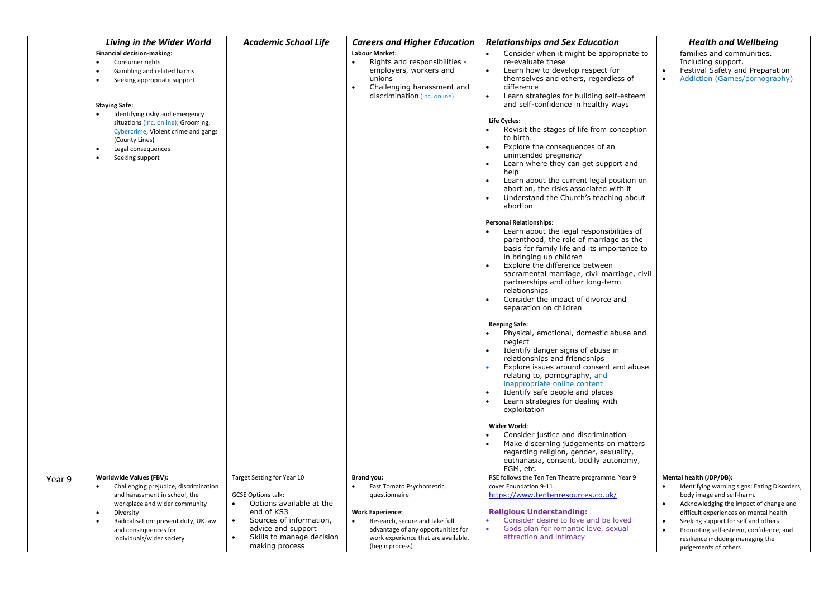|                                                | Living in the Wider World                                                                                                                                                                                                                           | <b>Academic School Life</b>                                                                                                                                                                                                 | <b>Careers and Higher Education</b>                                                                                                                                                                                                            | <b>Relationships and Sex Education</b>                                                                                                                                                                                                                                                                                                                                                                 | <b>Health and Wellbeing</b>                                                                                                                                                                                                                                                                                                                                                   |
|------------------------------------------------|-----------------------------------------------------------------------------------------------------------------------------------------------------------------------------------------------------------------------------------------------------|-----------------------------------------------------------------------------------------------------------------------------------------------------------------------------------------------------------------------------|------------------------------------------------------------------------------------------------------------------------------------------------------------------------------------------------------------------------------------------------|--------------------------------------------------------------------------------------------------------------------------------------------------------------------------------------------------------------------------------------------------------------------------------------------------------------------------------------------------------------------------------------------------------|-------------------------------------------------------------------------------------------------------------------------------------------------------------------------------------------------------------------------------------------------------------------------------------------------------------------------------------------------------------------------------|
| $\bullet$<br>$\bullet$<br><b>Staying Safe:</b> | <b>Financial decision-making:</b><br>Consumer rights<br>Gambling and related harms<br>Seeking appropriate support                                                                                                                                   |                                                                                                                                                                                                                             | <b>Labour Market:</b><br>Rights and responsibilities -<br>employers, workers and<br>unions<br>Challenging harassment and<br>discrimination (Inc. online)                                                                                       | Consider when it might be appropriate to<br>re-evaluate these<br>Learn how to develop respect for<br>themselves and others, regardless of<br>difference<br>Learn strategies for building self-esteem<br>$\bullet$<br>and self-confidence in healthy ways                                                                                                                                               | families and communities.<br>Including support.<br>Festival Safety and Preparation<br>$\bullet$<br>$\bullet$<br>Addiction (Games/pornography)                                                                                                                                                                                                                                 |
| $\bullet$<br>$\bullet$                         | Identifying risky and emergency<br>situations (Inc. online); Grooming,<br>Cybercrime, Violent crime and gangs<br>(County Lines)<br>Legal consequences<br>Seeking support                                                                            |                                                                                                                                                                                                                             |                                                                                                                                                                                                                                                | Life Cycles:<br>Revisit the stages of life from conception<br>$\bullet$<br>to birth.<br>Explore the consequences of an<br>unintended pregnancy<br>Learn where they can get support and<br>help<br>Learn about the current legal position on<br>abortion, the risks associated with it<br>Understand the Church's teaching about<br>abortion                                                            |                                                                                                                                                                                                                                                                                                                                                                               |
|                                                |                                                                                                                                                                                                                                                     |                                                                                                                                                                                                                             |                                                                                                                                                                                                                                                | <b>Personal Relationships:</b><br>Learn about the legal responsibilities of<br>parenthood, the role of marriage as the<br>basis for family life and its importance to<br>in bringing up children<br>Explore the difference between<br>sacramental marriage, civil marriage, civil<br>partnerships and other long-term<br>relationships<br>Consider the impact of divorce and<br>separation on children |                                                                                                                                                                                                                                                                                                                                                                               |
|                                                |                                                                                                                                                                                                                                                     |                                                                                                                                                                                                                             |                                                                                                                                                                                                                                                | <b>Keeping Safe:</b><br>Physical, emotional, domestic abuse and<br>neglect<br>Identify danger signs of abuse in<br>relationships and friendships<br>Explore issues around consent and abuse<br>relating to, pornography, and<br>inappropriate online content<br>Identify safe people and places<br>Learn strategies for dealing with<br>exploitation                                                   |                                                                                                                                                                                                                                                                                                                                                                               |
|                                                |                                                                                                                                                                                                                                                     |                                                                                                                                                                                                                             |                                                                                                                                                                                                                                                | Wider World:<br>Consider justice and discrimination<br>Make discerning judgements on matters<br>regarding religion, gender, sexuality,<br>euthanasia, consent, bodily autonomy,<br>FGM, etc.                                                                                                                                                                                                           |                                                                                                                                                                                                                                                                                                                                                                               |
| Year 9<br>$\bullet$<br>$\bullet$<br>$\bullet$  | <b>Worldwide Values (FBV):</b><br>Challenging prejudice, discrimination<br>and harassment in school, the<br>workplace and wider community<br>Diversity<br>Radicalisation: prevent duty, UK law<br>and consequences for<br>individuals/wider society | Target Setting for Year 10<br><b>GCSE Options talk:</b><br>Options available at the<br>$\bullet$<br>end of KS3<br>Sources of information,<br>$\bullet$<br>advice and support<br>Skills to manage decision<br>making process | Brand you:<br>Fast Tomato Psychometric<br>$\bullet$<br>questionnaire<br><b>Work Experience:</b><br>$\bullet$<br>Research, secure and take full<br>advantage of any opportunities for<br>work experience that are available.<br>(begin process) | RSE follows the Ten Ten Theatre programme. Year 9<br>cover Foundation 9-11.<br>https://www.tentenresources.co.uk/<br><b>Religious Understanding:</b><br>Consider desire to love and be loved<br>Gods plan for romantic love, sexual<br>attraction and intimacy                                                                                                                                         | Mental health (JDP/DB):<br>$\bullet$<br>Identifying warning signs: Eating Disorders,<br>body image and self-harm.<br>Acknowledging the impact of change and<br>$\bullet$<br>difficult experiences on mental health<br>Seeking support for self and others<br>$\bullet$<br>Promoting self-esteem, confidence, and<br>resilience including managing the<br>judgements of others |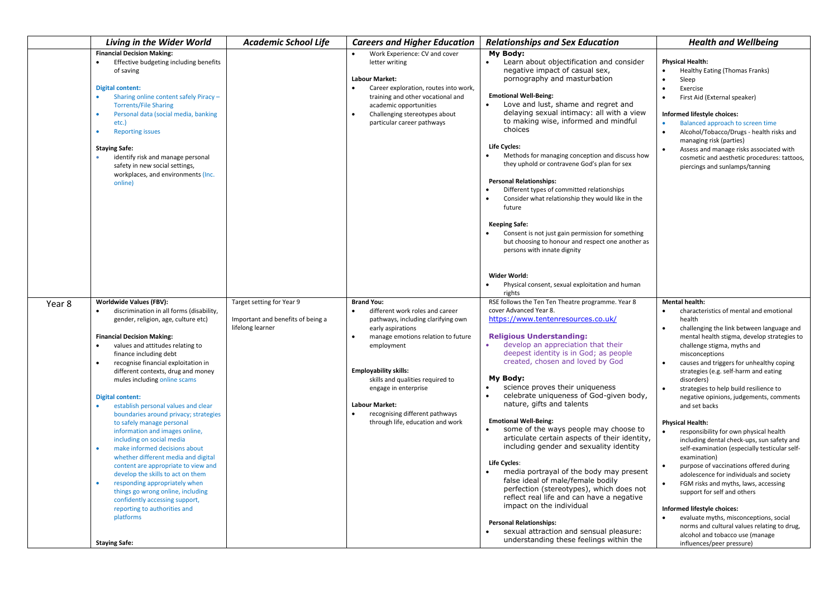|                     | Living in the Wider World                                                                                                                                                                                                                                                                                                                                                                                                                                                                                                                                                                                                                                                                                                                                                                                                                                          | <b>Academic School Life</b>                                                        | <b>Careers and Higher Education</b>                                                                                                                                                                                                                                                                                                                                         | <b>Relationships and Sex Education</b>                                                                                                                                                                                                                                                                                                                                                                                                                                                                                                                                                                                                                                                                                                                                                                                                                                                                                            | <b>Health and Wellbeing</b>                                                                                                                                                                                                                                                                                                                                                                                                                                                                                                                                                                                                                                                                                                                                                                                                                                                                                                                                                           |
|---------------------|--------------------------------------------------------------------------------------------------------------------------------------------------------------------------------------------------------------------------------------------------------------------------------------------------------------------------------------------------------------------------------------------------------------------------------------------------------------------------------------------------------------------------------------------------------------------------------------------------------------------------------------------------------------------------------------------------------------------------------------------------------------------------------------------------------------------------------------------------------------------|------------------------------------------------------------------------------------|-----------------------------------------------------------------------------------------------------------------------------------------------------------------------------------------------------------------------------------------------------------------------------------------------------------------------------------------------------------------------------|-----------------------------------------------------------------------------------------------------------------------------------------------------------------------------------------------------------------------------------------------------------------------------------------------------------------------------------------------------------------------------------------------------------------------------------------------------------------------------------------------------------------------------------------------------------------------------------------------------------------------------------------------------------------------------------------------------------------------------------------------------------------------------------------------------------------------------------------------------------------------------------------------------------------------------------|---------------------------------------------------------------------------------------------------------------------------------------------------------------------------------------------------------------------------------------------------------------------------------------------------------------------------------------------------------------------------------------------------------------------------------------------------------------------------------------------------------------------------------------------------------------------------------------------------------------------------------------------------------------------------------------------------------------------------------------------------------------------------------------------------------------------------------------------------------------------------------------------------------------------------------------------------------------------------------------|
| $\bullet$           | <b>Financial Decision Making:</b><br>Effective budgeting including benefits<br>of saving<br><b>Digital content:</b><br>Sharing online content safely Piracy -<br><b>Torrents/File Sharing</b><br>Personal data (social media, banking<br>etc.)<br><b>Reporting issues</b><br><b>Staying Safe:</b><br>identify risk and manage personal<br>safety in new social settings,<br>workplaces, and environments (Inc.<br>online)                                                                                                                                                                                                                                                                                                                                                                                                                                          |                                                                                    | Work Experience: CV and cover<br>letter writing<br><b>Labour Market:</b><br>$\bullet$<br>Career exploration, routes into work,<br>training and other vocational and<br>academic opportunities<br>Challenging stereotypes about<br>$\bullet$<br>particular career pathways                                                                                                   | My Body:<br>Learn about objectification and consider<br>negative impact of casual sex,<br>pornography and masturbation<br><b>Emotional Well-Being:</b><br>Love and lust, shame and regret and<br>delaying sexual intimacy: all with a view<br>to making wise, informed and mindful<br>choices<br>Life Cycles:<br>Methods for managing conception and discuss how<br>they uphold or contravene God's plan for sex<br><b>Personal Relationships:</b><br>Different types of committed relationships<br>Consider what relationship they would like in the<br>future<br><b>Keeping Safe:</b><br>Consent is not just gain permission for something<br>but choosing to honour and respect one another as<br>persons with innate dignity<br>Wider World:<br>Physical consent, sexual exploitation and human                                                                                                                               | <b>Physical Health:</b><br>Healthy Eating (Thomas Franks)<br>Sleep<br>$\bullet$<br>Exercise<br>First Aid (External speaker)<br>Informed lifestyle choices:<br>Balanced approach to screen time<br>Alcohol/Tobacco/Drugs - health risks and<br>managing risk (parties)<br>Assess and manage risks associated with<br>cosmetic and aesthetic procedures: tattoos,<br>piercings and sunlamps/tanning                                                                                                                                                                                                                                                                                                                                                                                                                                                                                                                                                                                     |
| Year 8<br>$\bullet$ | Worldwide Values (FBV):<br>discrimination in all forms (disability,<br>gender, religion, age, culture etc)<br><b>Financial Decision Making:</b><br>values and attitudes relating to<br>finance including debt<br>recognise financial exploitation in<br>different contexts, drug and money<br>mules including online scams<br><b>Digital content:</b><br>establish personal values and clear<br>boundaries around privacy; strategies<br>to safely manage personal<br>information and images online,<br>including on social media<br>make informed decisions about<br>whether different media and digital<br>content are appropriate to view and<br>develop the skills to act on them<br>responding appropriately when<br>things go wrong online, including<br>confidently accessing support,<br>reporting to authorities and<br>platforms<br><b>Staying Safe:</b> | Target setting for Year 9<br>Important and benefits of being a<br>lifelong learner | <b>Brand You:</b><br>different work roles and career<br>pathways, including clarifying own<br>early aspirations<br>$\bullet$<br>manage emotions relation to future<br>employment<br><b>Employability skills:</b><br>skills and qualities required to<br>engage in enterprise<br><b>Labour Market:</b><br>recognising different pathways<br>through life, education and work | rights<br>RSE follows the Ten Ten Theatre programme. Year 8<br>cover Advanced Year 8.<br>https://www.tentenresources.co.uk/<br><b>Religious Understanding:</b><br>develop an appreciation that their<br>deepest identity is in God; as people<br>created, chosen and loved by God<br>My Body:<br>science proves their uniqueness<br>celebrate uniqueness of God-given body,<br>nature, gifts and talents<br><b>Emotional Well-Being:</b><br>some of the ways people may choose to<br>articulate certain aspects of their identity,<br>including gender and sexuality identity<br><b>Life Cycles:</b><br>media portrayal of the body may present<br>false ideal of male/female bodily<br>perfection (stereotypes), which does not<br>reflect real life and can have a negative<br>impact on the individual<br><b>Personal Relationships:</b><br>sexual attraction and sensual pleasure:<br>understanding these feelings within the | <b>Mental health:</b><br>characteristics of mental and emotional<br>health<br>challenging the link between language and<br>mental health stigma, develop strategies to<br>challenge stigma, myths and<br>misconceptions<br>causes and triggers for unhealthy coping<br>strategies (e.g. self-harm and eating<br>disorders)<br>strategies to help build resilience to<br>negative opinions, judgements, comments<br>and set backs<br><b>Physical Health:</b><br>responsibility for own physical health<br>including dental check-ups, sun safety and<br>self-examination (especially testicular self-<br>examination)<br>purpose of vaccinations offered during<br>$\bullet$<br>adolescence for individuals and society<br>FGM risks and myths, laws, accessing<br>support for self and others<br>Informed lifestyle choices:<br>evaluate myths, misconceptions, social<br>norms and cultural values relating to drug,<br>alcohol and tobacco use (manage<br>influences/peer pressure) |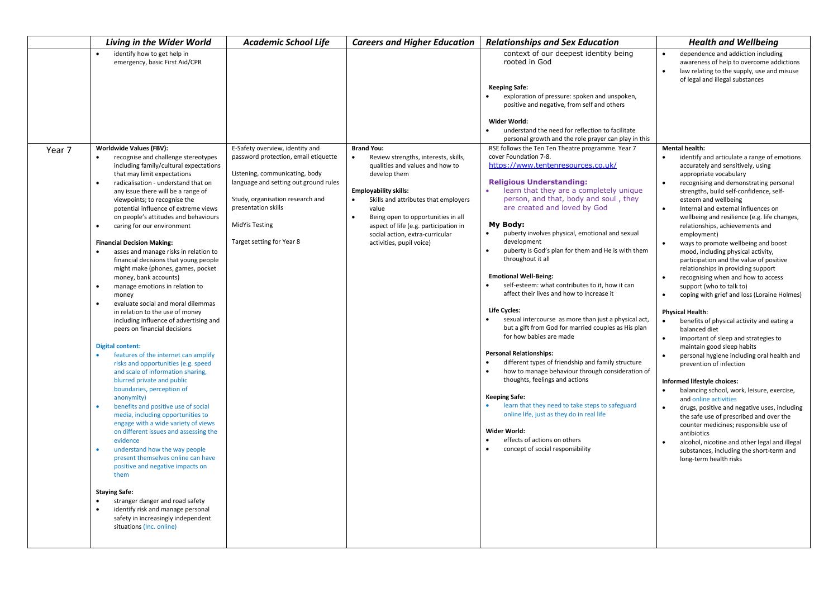| Living in the Wider World                                                                                                                                                                                                                                                                                                                                                                                                                                                                                                                                                                                                                                                                                                                                                                                                                                                                                                                                                                                                                                                                                                                                                                                                                                                                                                                                                                                                                                              | <b>Academic School Life</b>                                                                                                                                                                                                                                  | <b>Careers and Higher Education</b>                                                                                                                                                                                                                                                                                                                                                | <b>Relationships and Sex Education</b>                                                                                                                                                                                                                                                                                                                                                                                                                                                                                                                                                                                                                                                                                                                                                                                                                                                                                                                                                                                                                                                                                            | <b>Health and Wellbeing</b>                                                                                                                                                                                                                                                                                                                                                                                                                                                                                                                                                                                                                                                                                                                                                                                                                                                                                                                                                                                                                                                                                                                                                                                                                                                                                                                                                                  |
|------------------------------------------------------------------------------------------------------------------------------------------------------------------------------------------------------------------------------------------------------------------------------------------------------------------------------------------------------------------------------------------------------------------------------------------------------------------------------------------------------------------------------------------------------------------------------------------------------------------------------------------------------------------------------------------------------------------------------------------------------------------------------------------------------------------------------------------------------------------------------------------------------------------------------------------------------------------------------------------------------------------------------------------------------------------------------------------------------------------------------------------------------------------------------------------------------------------------------------------------------------------------------------------------------------------------------------------------------------------------------------------------------------------------------------------------------------------------|--------------------------------------------------------------------------------------------------------------------------------------------------------------------------------------------------------------------------------------------------------------|------------------------------------------------------------------------------------------------------------------------------------------------------------------------------------------------------------------------------------------------------------------------------------------------------------------------------------------------------------------------------------|-----------------------------------------------------------------------------------------------------------------------------------------------------------------------------------------------------------------------------------------------------------------------------------------------------------------------------------------------------------------------------------------------------------------------------------------------------------------------------------------------------------------------------------------------------------------------------------------------------------------------------------------------------------------------------------------------------------------------------------------------------------------------------------------------------------------------------------------------------------------------------------------------------------------------------------------------------------------------------------------------------------------------------------------------------------------------------------------------------------------------------------|----------------------------------------------------------------------------------------------------------------------------------------------------------------------------------------------------------------------------------------------------------------------------------------------------------------------------------------------------------------------------------------------------------------------------------------------------------------------------------------------------------------------------------------------------------------------------------------------------------------------------------------------------------------------------------------------------------------------------------------------------------------------------------------------------------------------------------------------------------------------------------------------------------------------------------------------------------------------------------------------------------------------------------------------------------------------------------------------------------------------------------------------------------------------------------------------------------------------------------------------------------------------------------------------------------------------------------------------------------------------------------------------|
| identify how to get help in<br>emergency, basic First Aid/CPR                                                                                                                                                                                                                                                                                                                                                                                                                                                                                                                                                                                                                                                                                                                                                                                                                                                                                                                                                                                                                                                                                                                                                                                                                                                                                                                                                                                                          |                                                                                                                                                                                                                                                              |                                                                                                                                                                                                                                                                                                                                                                                    | context of our deepest identity being<br>rooted in God<br><b>Keeping Safe:</b>                                                                                                                                                                                                                                                                                                                                                                                                                                                                                                                                                                                                                                                                                                                                                                                                                                                                                                                                                                                                                                                    | dependence and addiction including<br>awareness of help to overcome addictions<br>law relating to the supply, use and misuse<br>$\bullet$<br>of legal and illegal substances                                                                                                                                                                                                                                                                                                                                                                                                                                                                                                                                                                                                                                                                                                                                                                                                                                                                                                                                                                                                                                                                                                                                                                                                                 |
|                                                                                                                                                                                                                                                                                                                                                                                                                                                                                                                                                                                                                                                                                                                                                                                                                                                                                                                                                                                                                                                                                                                                                                                                                                                                                                                                                                                                                                                                        |                                                                                                                                                                                                                                                              |                                                                                                                                                                                                                                                                                                                                                                                    | exploration of pressure: spoken and unspoken,<br>positive and negative, from self and others                                                                                                                                                                                                                                                                                                                                                                                                                                                                                                                                                                                                                                                                                                                                                                                                                                                                                                                                                                                                                                      |                                                                                                                                                                                                                                                                                                                                                                                                                                                                                                                                                                                                                                                                                                                                                                                                                                                                                                                                                                                                                                                                                                                                                                                                                                                                                                                                                                                              |
|                                                                                                                                                                                                                                                                                                                                                                                                                                                                                                                                                                                                                                                                                                                                                                                                                                                                                                                                                                                                                                                                                                                                                                                                                                                                                                                                                                                                                                                                        |                                                                                                                                                                                                                                                              |                                                                                                                                                                                                                                                                                                                                                                                    | Wider World:<br>understand the need for reflection to facilitate<br>personal growth and the role prayer can play in this                                                                                                                                                                                                                                                                                                                                                                                                                                                                                                                                                                                                                                                                                                                                                                                                                                                                                                                                                                                                          |                                                                                                                                                                                                                                                                                                                                                                                                                                                                                                                                                                                                                                                                                                                                                                                                                                                                                                                                                                                                                                                                                                                                                                                                                                                                                                                                                                                              |
| Worldwide Values (FBV):<br>Year 7<br>recognise and challenge stereotypes<br>including family/cultural expectations<br>that may limit expectations<br>radicalisation - understand that on<br>$\bullet$<br>any issue there will be a range of<br>viewpoints; to recognise the<br>potential influence of extreme views<br>on people's attitudes and behaviours<br>caring for our environment<br><b>Financial Decision Making:</b><br>asses and manage risks in relation to<br>financial decisions that young people<br>might make (phones, games, pocket<br>money, bank accounts)<br>manage emotions in relation to<br>٠<br>money<br>evaluate social and moral dilemmas<br>in relation to the use of money<br>including influence of advertising and<br>peers on financial decisions<br><b>Digital content:</b><br>features of the internet can amplify<br>risks and opportunities (e.g. speed<br>and scale of information sharing,<br>blurred private and public<br>boundaries, perception of<br>anonymity)<br>benefits and positive use of social<br>media, including opportunities to<br>engage with a wide variety of views<br>on different issues and assessing the<br>evidence<br>understand how the way people<br>present themselves online can have<br>positive and negative impacts on<br>them<br><b>Staying Safe:</b><br>stranger danger and road safety<br>identify risk and manage personal<br>safety in increasingly independent<br>situations (Inc. online) | E-Safety overview, identity and<br>password protection, email etiquette<br>Listening, communicating, body<br>language and setting out ground rules<br>Study, organisation research and<br>presentation skills<br>MidYis Testing<br>Target setting for Year 8 | <b>Brand You:</b><br>$\bullet$<br>Review strengths, interests, skills,<br>qualities and values and how to<br>develop them<br><b>Employability skills:</b><br>Skills and attributes that employers<br>$\bullet$<br>value<br>$\bullet$<br>Being open to opportunities in all<br>aspect of life (e.g. participation in<br>social action, extra-curricular<br>activities, pupil voice) | RSE follows the Ten Ten Theatre programme. Year 7<br>cover Foundation 7-8.<br>https://www.tentenresources.co.uk/<br><b>Religious Understanding:</b><br>learn that they are a completely unique<br>person, and that, body and soul, they<br>are created and loved by God<br>My Body:<br>puberty involves physical, emotional and sexual<br>$\bullet$<br>development<br>puberty is God's plan for them and He is with them<br>throughout it all<br><b>Emotional Well-Being:</b><br>self-esteem: what contributes to it, how it can<br>affect their lives and how to increase it<br>Life Cycles:<br>sexual intercourse as more than just a physical act,<br>but a gift from God for married couples as His plan<br>for how babies are made<br><b>Personal Relationships:</b><br>different types of friendship and family structure<br>how to manage behaviour through consideration of<br>thoughts, feelings and actions<br><b>Keeping Safe:</b><br>learn that they need to take steps to safeguard<br>online life, just as they do in real life<br>Wider World:<br>effects of actions on others<br>concept of social responsibility | <b>Mental health:</b><br>identify and articulate a range of emotions<br>accurately and sensitively, using<br>appropriate vocabulary<br>recognising and demonstrating personal<br>$\bullet$<br>strengths, build self-confidence, self-<br>esteem and wellbeing<br>Internal and external influences on<br>$\bullet$<br>wellbeing and resilience (e.g. life changes,<br>relationships, achievements and<br>employment)<br>ways to promote wellbeing and boost<br>mood, including physical activity,<br>participation and the value of positive<br>relationships in providing support<br>recognising when and how to access<br>$\bullet$<br>support (who to talk to)<br>coping with grief and loss (Loraine Holmes)<br>$\bullet$<br><b>Physical Health:</b><br>benefits of physical activity and eating a<br>balanced diet<br>important of sleep and strategies to<br>$\bullet$<br>maintain good sleep habits<br>personal hygiene including oral health and<br>$\bullet$<br>prevention of infection<br>Informed lifestyle choices:<br>balancing school, work, leisure, exercise,<br>$\bullet$<br>and online activities<br>drugs, positive and negative uses, including<br>the safe use of prescribed and over the<br>counter medicines; responsible use of<br>antibiotics<br>alcohol, nicotine and other legal and illegal<br>substances, including the short-term and<br>long-term health risks |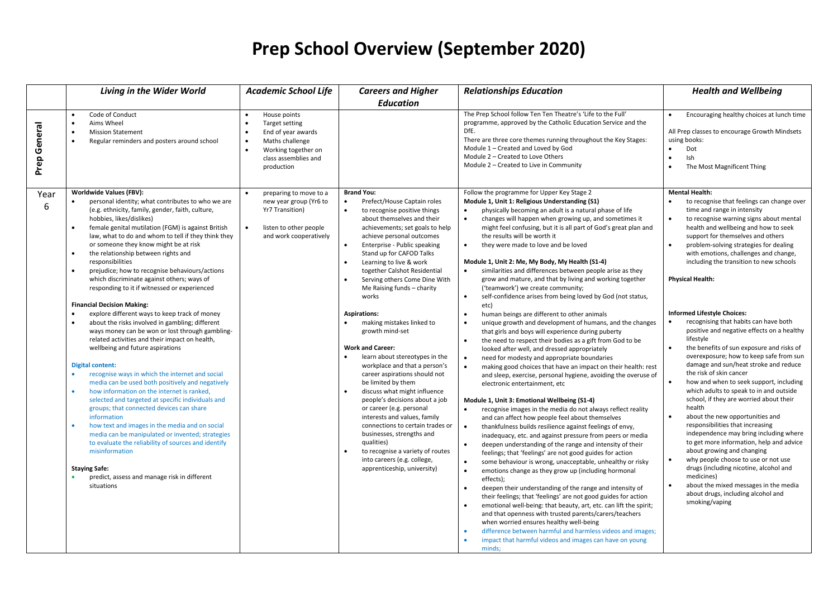# **Prep School Overview (September 2020)**

|                 | <b>Living in the Wider World</b>                                                                                                                                                                                                                                                                                                                                                                                                                                                                                                                                                                                                                                                                                                                                                                                                                                                                                                                                                                                                                                                                                                                                                                                                                                                                                                                                                                                                                                                | <b>Academic School Life</b>                                                                                                                                                        | <b>Careers and Higher</b>                                                                                                                                                                                                                                                                                                                                                                                                                                                                                                                                                                                                                                                                                                                                                                                                                                                                                                                                                                                                        | <b>Relationships Education</b>                                                                                                                                                                                                                                                                                                                                                                                                                                                                                                                                                                                                                                                                                                                                                                                                                                                                                                                                                                                                                                                                                                                                                                                                                                                                                                                                                                                                                                                                                                                                                                                                                                                                                                                                                                                                                                                                                                                                                                                                                                                                                                                                                                                                                              | <b>Health and Wellbeing</b>                                                                                                                                                                                                                                                                                                                                                                                                                                                                                                                                                                                                                                                                                                                                                                                                                                                                                                                                                                                                                                                                                                                                                                                                                  |
|-----------------|---------------------------------------------------------------------------------------------------------------------------------------------------------------------------------------------------------------------------------------------------------------------------------------------------------------------------------------------------------------------------------------------------------------------------------------------------------------------------------------------------------------------------------------------------------------------------------------------------------------------------------------------------------------------------------------------------------------------------------------------------------------------------------------------------------------------------------------------------------------------------------------------------------------------------------------------------------------------------------------------------------------------------------------------------------------------------------------------------------------------------------------------------------------------------------------------------------------------------------------------------------------------------------------------------------------------------------------------------------------------------------------------------------------------------------------------------------------------------------|------------------------------------------------------------------------------------------------------------------------------------------------------------------------------------|----------------------------------------------------------------------------------------------------------------------------------------------------------------------------------------------------------------------------------------------------------------------------------------------------------------------------------------------------------------------------------------------------------------------------------------------------------------------------------------------------------------------------------------------------------------------------------------------------------------------------------------------------------------------------------------------------------------------------------------------------------------------------------------------------------------------------------------------------------------------------------------------------------------------------------------------------------------------------------------------------------------------------------|-------------------------------------------------------------------------------------------------------------------------------------------------------------------------------------------------------------------------------------------------------------------------------------------------------------------------------------------------------------------------------------------------------------------------------------------------------------------------------------------------------------------------------------------------------------------------------------------------------------------------------------------------------------------------------------------------------------------------------------------------------------------------------------------------------------------------------------------------------------------------------------------------------------------------------------------------------------------------------------------------------------------------------------------------------------------------------------------------------------------------------------------------------------------------------------------------------------------------------------------------------------------------------------------------------------------------------------------------------------------------------------------------------------------------------------------------------------------------------------------------------------------------------------------------------------------------------------------------------------------------------------------------------------------------------------------------------------------------------------------------------------------------------------------------------------------------------------------------------------------------------------------------------------------------------------------------------------------------------------------------------------------------------------------------------------------------------------------------------------------------------------------------------------------------------------------------------------------------------------------------------------|----------------------------------------------------------------------------------------------------------------------------------------------------------------------------------------------------------------------------------------------------------------------------------------------------------------------------------------------------------------------------------------------------------------------------------------------------------------------------------------------------------------------------------------------------------------------------------------------------------------------------------------------------------------------------------------------------------------------------------------------------------------------------------------------------------------------------------------------------------------------------------------------------------------------------------------------------------------------------------------------------------------------------------------------------------------------------------------------------------------------------------------------------------------------------------------------------------------------------------------------|
|                 |                                                                                                                                                                                                                                                                                                                                                                                                                                                                                                                                                                                                                                                                                                                                                                                                                                                                                                                                                                                                                                                                                                                                                                                                                                                                                                                                                                                                                                                                                 |                                                                                                                                                                                    | <b>Education</b>                                                                                                                                                                                                                                                                                                                                                                                                                                                                                                                                                                                                                                                                                                                                                                                                                                                                                                                                                                                                                 |                                                                                                                                                                                                                                                                                                                                                                                                                                                                                                                                                                                                                                                                                                                                                                                                                                                                                                                                                                                                                                                                                                                                                                                                                                                                                                                                                                                                                                                                                                                                                                                                                                                                                                                                                                                                                                                                                                                                                                                                                                                                                                                                                                                                                                                             |                                                                                                                                                                                                                                                                                                                                                                                                                                                                                                                                                                                                                                                                                                                                                                                                                                                                                                                                                                                                                                                                                                                                                                                                                                              |
| General<br>Prep | Code of Conduct<br>$\bullet$<br>Aims Wheel<br><b>Mission Statement</b><br>Regular reminders and posters around school<br>$\bullet$                                                                                                                                                                                                                                                                                                                                                                                                                                                                                                                                                                                                                                                                                                                                                                                                                                                                                                                                                                                                                                                                                                                                                                                                                                                                                                                                              | House points<br><b>Target setting</b><br>End of year awards<br>$\bullet$<br>Maths challenge<br>$\bullet$<br>Working together on<br>$\bullet$<br>class assemblies and<br>production |                                                                                                                                                                                                                                                                                                                                                                                                                                                                                                                                                                                                                                                                                                                                                                                                                                                                                                                                                                                                                                  | The Prep School follow Ten Ten Theatre's 'Life to the Full'<br>programme, approved by the Catholic Education Service and the<br>DfE.<br>There are three core themes running throughout the Key Stages:<br>Module 1 - Created and Loved by God<br>Module 2 - Created to Love Others<br>Module 2 - Created to Live in Community                                                                                                                                                                                                                                                                                                                                                                                                                                                                                                                                                                                                                                                                                                                                                                                                                                                                                                                                                                                                                                                                                                                                                                                                                                                                                                                                                                                                                                                                                                                                                                                                                                                                                                                                                                                                                                                                                                                               | Encouraging healthy choices at lunch time<br>All Prep classes to encourage Growth Mindsets<br>using books:<br>Dot<br>Ish<br>The Most Magnificent Thing                                                                                                                                                                                                                                                                                                                                                                                                                                                                                                                                                                                                                                                                                                                                                                                                                                                                                                                                                                                                                                                                                       |
| Year<br>6       | <b>Worldwide Values (FBV):</b><br>personal identity; what contributes to who we are<br>(e.g. ethnicity, family, gender, faith, culture,<br>hobbies, likes/dislikes)<br>female genital mutilation (FGM) is against British<br>$\bullet$<br>law, what to do and whom to tell if they think they<br>or someone they know might be at risk<br>the relationship between rights and<br>$\bullet$<br>responsibilities<br>prejudice; how to recognise behaviours/actions<br>$\bullet$<br>which discriminate against others; ways of<br>responding to it if witnessed or experienced<br><b>Financial Decision Making:</b><br>$\bullet$<br>explore different ways to keep track of money<br>$\bullet$<br>about the risks involved in gambling; different<br>ways money can be won or lost through gambling-<br>related activities and their impact on health,<br>wellbeing and future aspirations<br>Digital content:<br>$\bullet$<br>recognise ways in which the internet and social<br>media can be used both positively and negatively<br>how information on the internet is ranked,<br>selected and targeted at specific individuals and<br>groups; that connected devices can share<br>information<br>how text and images in the media and on social<br>$\bullet$<br>media can be manipulated or invented; strategies<br>to evaluate the reliability of sources and identify<br>misinformation<br><b>Staying Safe:</b><br>predict, assess and manage risk in different<br>situations | preparing to move to a<br>new year group (Yr6 to<br>Yr7 Transition)<br>listen to other people<br>$\bullet$<br>and work cooperatively                                               | <b>Brand You:</b><br>Prefect/House Captain roles<br>$\bullet$<br>$\bullet$<br>to recognise positive things<br>about themselves and their<br>achievements; set goals to help<br>achieve personal outcomes<br>Enterprise - Public speaking<br>$\bullet$<br>Stand up for CAFOD Talks<br>Learning to live & work<br>$\bullet$<br>together Calshot Residential<br>Serving others Come Dine With<br>$\bullet$<br>Me Raising funds - charity<br>works<br><b>Aspirations:</b><br>making mistakes linked to<br>growth mind-set<br><b>Work and Career:</b><br>$\bullet$<br>learn about stereotypes in the<br>workplace and that a person's<br>career aspirations should not<br>be limited by them<br>discuss what might influence<br>$\bullet$<br>people's decisions about a job<br>or career (e.g. personal<br>interests and values, family<br>connections to certain trades or<br>businesses, strengths and<br>qualities)<br>to recognise a variety of routes<br>$\bullet$<br>into careers (e.g. college,<br>apprenticeship, university) | Follow the programme for Upper Key Stage 2<br>Module 1, Unit 1: Religious Understanding (S1)<br>physically becoming an adult is a natural phase of life<br>$\bullet$<br>changes will happen when growing up, and sometimes it<br>might feel confusing, but it is all part of God's great plan and<br>the results will be worth it<br>they were made to love and be loved<br>$\bullet$<br>Module 1, Unit 2: Me, My Body, My Health (S1-4)<br>similarities and differences between people arise as they<br>grow and mature, and that by living and working together<br>('teamwork') we create community;<br>self-confidence arises from being loved by God (not status,<br>$\bullet$<br>etc)<br>human beings are different to other animals<br>$\bullet$<br>unique growth and development of humans, and the changes<br>that girls and boys will experience during puberty<br>the need to respect their bodies as a gift from God to be<br>looked after well, and dressed appropriately<br>need for modesty and appropriate boundaries<br>making good choices that have an impact on their health: rest<br>and sleep, exercise, personal hygiene, avoiding the overuse of<br>electronic entertainment, etc<br>Module 1, Unit 3: Emotional Wellbeing (S1-4)<br>$\bullet$<br>recognise images in the media do not always reflect reality<br>and can affect how people feel about themselves<br>thankfulness builds resilience against feelings of envy,<br>inadequacy, etc. and against pressure from peers or media<br>deepen understanding of the range and intensity of their<br>feelings; that 'feelings' are not good guides for action<br>some behaviour is wrong, unacceptable, unhealthy or risky<br>$\bullet$<br>$\bullet$<br>emotions change as they grow up (including hormonal<br>effects);<br>deepen their understanding of the range and intensity of<br>$\bullet$<br>their feelings; that 'feelings' are not good guides for action<br>emotional well-being: that beauty, art, etc. can lift the spirit;<br>and that openness with trusted parents/carers/teachers<br>when worried ensures healthy well-being<br>difference between harmful and harmless videos and images;<br>impact that harmful videos and images can have on young<br>minds; | <b>Mental Health:</b><br>to recognise that feelings can change over<br>time and range in intensity<br>to recognise warning signs about mental<br>$\bullet$<br>health and wellbeing and how to seek<br>support for themselves and others<br>problem-solving strategies for dealing<br>with emotions, challenges and change,<br>including the transition to new schools<br><b>Physical Health:</b><br><b>Informed Lifestyle Choices:</b><br>recognising that habits can have both<br>positive and negative effects on a healthy<br>lifestyle<br>the benefits of sun exposure and risks of<br>overexposure; how to keep safe from sun<br>damage and sun/heat stroke and reduce<br>the risk of skin cancer<br>how and when to seek support, including<br>which adults to speak to in and outside<br>school, if they are worried about their<br>health<br>about the new opportunities and<br>responsibilities that increasing<br>independence may bring including where<br>to get more information, help and advice<br>about growing and changing<br>why people choose to use or not use<br>drugs (including nicotine, alcohol and<br>medicines)<br>about the mixed messages in the media<br>about drugs, including alcohol and<br>smoking/vaping |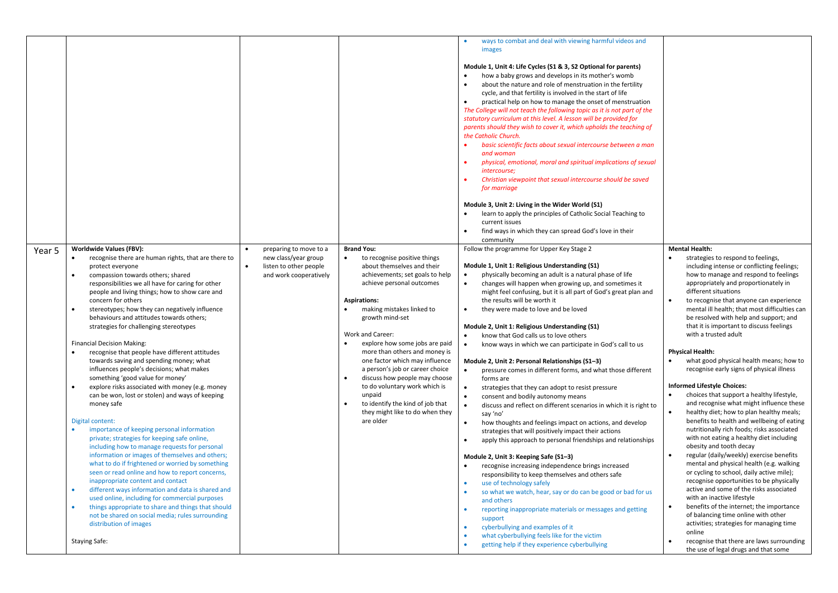|        |                                                                                                                                                                                                                                                                                                                                                                                                                                                                                                                                                                                                                                                                                                                                                                                                                                                                                                                                                                                                                                                                                                                                                                                                                                                                                                                                                                                                                                                           |                                                                                                    |                                                                                                                                                                                                                                                                                                                                                                                                                                                                                                                                                    | ways to combat and deal with viewing harmful videos and<br>images<br>Module 1, Unit 4: Life Cycles (S1 & 3, S2 Optional for parents)<br>how a baby grows and develops in its mother's womb<br>about the nature and role of menstruation in the fertility<br>cycle, and that fertility is involved in the start of life<br>practical help on how to manage the onset of menstruation<br>The College will not teach the following topic as it is not part of the<br>statutory curriculum at this level. A lesson will be provided for<br>parents should they wish to cover it, which upholds the teaching of<br>the Catholic Church.<br>basic scientific facts about sexual intercourse between a man<br>and woman<br>physical, emotional, moral and spiritual implications of sexual<br><i>intercourse;</i><br>Christian viewpoint that sexual intercourse should be saved<br>for marriage<br>Module 3, Unit 2: Living in the Wider World (S1)<br>learn to apply the principles of Catholic Social Teaching to<br>current issues<br>find ways in which they can spread God's love in their<br>community                                                                                                                                                                                                                                                                                                                                                                                                                                            |                                                                                                                                                                                                                                                                                                                                                                                                                                                                                                                                                                                                                                                                                                                                                                                                                                                                                                                                                                                                                                                                                                                                                                                                                                                                                                                                                                                                    |
|--------|-----------------------------------------------------------------------------------------------------------------------------------------------------------------------------------------------------------------------------------------------------------------------------------------------------------------------------------------------------------------------------------------------------------------------------------------------------------------------------------------------------------------------------------------------------------------------------------------------------------------------------------------------------------------------------------------------------------------------------------------------------------------------------------------------------------------------------------------------------------------------------------------------------------------------------------------------------------------------------------------------------------------------------------------------------------------------------------------------------------------------------------------------------------------------------------------------------------------------------------------------------------------------------------------------------------------------------------------------------------------------------------------------------------------------------------------------------------|----------------------------------------------------------------------------------------------------|----------------------------------------------------------------------------------------------------------------------------------------------------------------------------------------------------------------------------------------------------------------------------------------------------------------------------------------------------------------------------------------------------------------------------------------------------------------------------------------------------------------------------------------------------|---------------------------------------------------------------------------------------------------------------------------------------------------------------------------------------------------------------------------------------------------------------------------------------------------------------------------------------------------------------------------------------------------------------------------------------------------------------------------------------------------------------------------------------------------------------------------------------------------------------------------------------------------------------------------------------------------------------------------------------------------------------------------------------------------------------------------------------------------------------------------------------------------------------------------------------------------------------------------------------------------------------------------------------------------------------------------------------------------------------------------------------------------------------------------------------------------------------------------------------------------------------------------------------------------------------------------------------------------------------------------------------------------------------------------------------------------------------------------------------------------------------------------------------------------|----------------------------------------------------------------------------------------------------------------------------------------------------------------------------------------------------------------------------------------------------------------------------------------------------------------------------------------------------------------------------------------------------------------------------------------------------------------------------------------------------------------------------------------------------------------------------------------------------------------------------------------------------------------------------------------------------------------------------------------------------------------------------------------------------------------------------------------------------------------------------------------------------------------------------------------------------------------------------------------------------------------------------------------------------------------------------------------------------------------------------------------------------------------------------------------------------------------------------------------------------------------------------------------------------------------------------------------------------------------------------------------------------|
| Year 5 | Worldwide Values (FBV):<br>recognise there are human rights, that are there to<br>protect everyone<br>compassion towards others; shared<br>$\bullet$<br>responsibilities we all have for caring for other<br>people and living things; how to show care and<br>concern for others<br>stereotypes; how they can negatively influence<br>$\bullet$<br>behaviours and attitudes towards others;<br>strategies for challenging stereotypes<br><b>Financial Decision Making:</b><br>recognise that people have different attitudes<br>towards saving and spending money; what<br>influences people's decisions; what makes<br>something 'good value for money'<br>explore risks associated with money (e.g. money<br>$\bullet$<br>can be won, lost or stolen) and ways of keeping<br>money safe<br>Digital content:<br>importance of keeping personal information<br>private; strategies for keeping safe online,<br>including how to manage requests for personal<br>information or images of themselves and others;<br>what to do if frightened or worried by something<br>seen or read online and how to report concerns,<br>inappropriate content and contact<br>different ways information and data is shared and<br>$\bullet$<br>used online, including for commercial purposes<br>things appropriate to share and things that should<br>$\bullet$<br>not be shared on social media; rules surrounding<br>distribution of images<br><b>Staying Safe:</b> | preparing to move to a<br>new class/year group<br>listen to other people<br>and work cooperatively | <b>Brand You:</b><br>to recognise positive things<br>about themselves and their<br>achievements; set goals to help<br>achieve personal outcomes<br><b>Aspirations:</b><br>making mistakes linked to<br>growth mind-set<br>Work and Career:<br>explore how some jobs are paid<br>more than others and money is<br>one factor which may influence<br>a person's job or career choice<br>discuss how people may choose<br>to do voluntary work which is<br>unpaid<br>to identify the kind of job that<br>they might like to do when they<br>are older | Follow the programme for Upper Key Stage 2<br>Module 1, Unit 1: Religious Understanding (S1)<br>physically becoming an adult is a natural phase of life<br>changes will happen when growing up, and sometimes it<br>might feel confusing, but it is all part of God's great plan and<br>the results will be worth it<br>they were made to love and be loved<br>Module 2, Unit 1: Religious Understanding (S1)<br>know that God calls us to love others<br>know ways in which we can participate in God's call to us<br>Module 2, Unit 2: Personal Relationships (S1-3)<br>pressure comes in different forms, and what those different<br>$\bullet$<br>forms are<br>strategies that they can adopt to resist pressure<br>$\bullet$<br>consent and bodily autonomy means<br>$\bullet$<br>discuss and reflect on different scenarios in which it is right to<br>$\bullet$<br>say 'no'<br>how thoughts and feelings impact on actions, and develop<br>strategies that will positively impact their actions<br>apply this approach to personal friendships and relationships<br>Module 2, Unit 3: Keeping Safe (S1-3)<br>recognise increasing independence brings increased<br>responsibility to keep themselves and others safe<br>use of technology safely<br>so what we watch, hear, say or do can be good or bad for us<br>and others<br>reporting inappropriate materials or messages and getting<br>support<br>cyberbullying and examples of it<br>what cyberbullying feels like for the victim<br>getting help if they experience cyberbullying | <b>Mental Health:</b><br>strategies to respond to feelings,<br>including intense or conflicting feelings;<br>how to manage and respond to feelings<br>appropriately and proportionately in<br>different situations<br>to recognise that anyone can experience<br>mental ill health; that most difficulties can<br>be resolved with help and support; and<br>that it is important to discuss feelings<br>with a trusted adult<br><b>Physical Health:</b><br>what good physical health means; how to<br>recognise early signs of physical illness<br><b>Informed Lifestyle Choices:</b><br>choices that support a healthy lifestyle,<br>and recognise what might influence these<br>healthy diet; how to plan healthy meals;<br>benefits to health and wellbeing of eating<br>nutritionally rich foods; risks associated<br>with not eating a healthy diet including<br>obesity and tooth decay<br>regular (daily/weekly) exercise benefits<br>mental and physical health (e.g. walking<br>or cycling to school, daily active mile);<br>recognise opportunities to be physically<br>active and some of the risks associated<br>with an inactive lifestyle<br>benefits of the internet; the importance<br>$\bullet$<br>of balancing time online with other<br>activities; strategies for managing time<br>online<br>recognise that there are laws surrounding<br>the use of legal drugs and that some |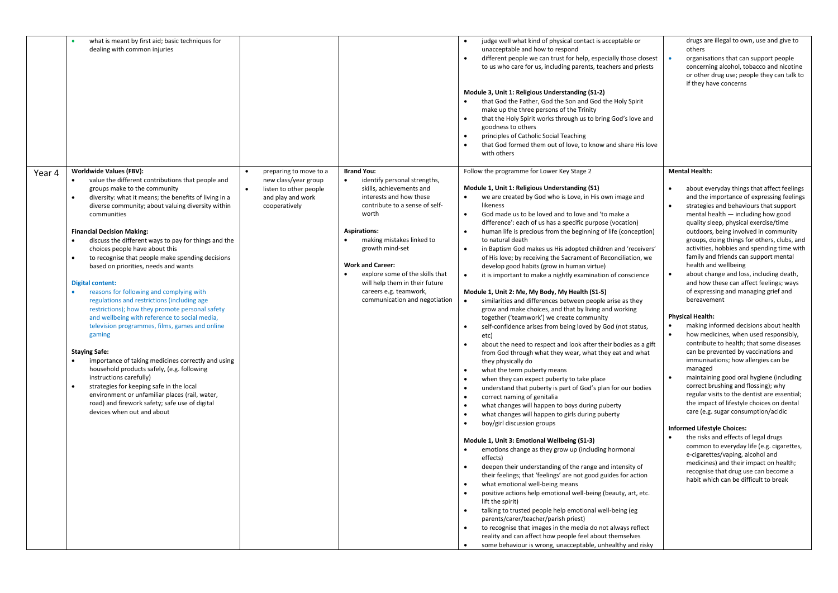|        | what is meant by first aid; basic techniques for<br>dealing with common injuries                                                                                                                                                                                                                                                                                                                                                                                                                                                                                                                                                                                                                                                                                                                                                                                                                                                                                                                                                                                                                                                                                        |                                                                                                                |                                                                                                                                                                                                                                                                                                                                                                                                                 | judge well what kind of physical contact is acceptable or<br>unacceptable and how to respond<br>different people we can trust for help, especially those closest<br>to us who care for us, including parents, teachers and priests<br>Module 3, Unit 1: Religious Understanding (S1-2)<br>that God the Father, God the Son and God the Holy Spirit<br>make up the three persons of the Trinity<br>that the Holy Spirit works through us to bring God's love and<br>$\bullet$<br>goodness to others<br>principles of Catholic Social Teaching<br>that God formed them out of love, to know and share His love<br>with others                                                                                                                                                                                                                                                                                                                                                                                                                                                                                                                                                                                                                                                                                                                                                                                                                                                                                                                                                                                                                                                                                                                                                                                                                                                                                                                                                                                                                                                                                                                                 | drugs are illegal to own, use and give to<br>others<br>organisations that can support people<br>$\bullet$<br>concerning alcohol, tobacco and nicotine<br>or other drug use; people they can talk to<br>if they have concerns                                                                                                                                                                                                                                                                                                                                                                                                                                                                                                                                                                                                                                                                                                                                                                                                                                                                                                                                                                                                                                                                                                                                                    |
|--------|-------------------------------------------------------------------------------------------------------------------------------------------------------------------------------------------------------------------------------------------------------------------------------------------------------------------------------------------------------------------------------------------------------------------------------------------------------------------------------------------------------------------------------------------------------------------------------------------------------------------------------------------------------------------------------------------------------------------------------------------------------------------------------------------------------------------------------------------------------------------------------------------------------------------------------------------------------------------------------------------------------------------------------------------------------------------------------------------------------------------------------------------------------------------------|----------------------------------------------------------------------------------------------------------------|-----------------------------------------------------------------------------------------------------------------------------------------------------------------------------------------------------------------------------------------------------------------------------------------------------------------------------------------------------------------------------------------------------------------|-------------------------------------------------------------------------------------------------------------------------------------------------------------------------------------------------------------------------------------------------------------------------------------------------------------------------------------------------------------------------------------------------------------------------------------------------------------------------------------------------------------------------------------------------------------------------------------------------------------------------------------------------------------------------------------------------------------------------------------------------------------------------------------------------------------------------------------------------------------------------------------------------------------------------------------------------------------------------------------------------------------------------------------------------------------------------------------------------------------------------------------------------------------------------------------------------------------------------------------------------------------------------------------------------------------------------------------------------------------------------------------------------------------------------------------------------------------------------------------------------------------------------------------------------------------------------------------------------------------------------------------------------------------------------------------------------------------------------------------------------------------------------------------------------------------------------------------------------------------------------------------------------------------------------------------------------------------------------------------------------------------------------------------------------------------------------------------------------------------------------------------------------------------|---------------------------------------------------------------------------------------------------------------------------------------------------------------------------------------------------------------------------------------------------------------------------------------------------------------------------------------------------------------------------------------------------------------------------------------------------------------------------------------------------------------------------------------------------------------------------------------------------------------------------------------------------------------------------------------------------------------------------------------------------------------------------------------------------------------------------------------------------------------------------------------------------------------------------------------------------------------------------------------------------------------------------------------------------------------------------------------------------------------------------------------------------------------------------------------------------------------------------------------------------------------------------------------------------------------------------------------------------------------------------------|
| Year 4 | <b>Worldwide Values (FBV):</b><br>value the different contributions that people and<br>groups make to the community<br>diversity: what it means; the benefits of living in a<br>$\bullet$<br>diverse community; about valuing diversity within<br>communities<br><b>Financial Decision Making:</b><br>discuss the different ways to pay for things and the<br>choices people have about this<br>to recognise that people make spending decisions<br>$\bullet$<br>based on priorities, needs and wants<br><b>Digital content:</b><br>$\bullet$<br>reasons for following and complying with<br>regulations and restrictions (including age<br>restrictions); how they promote personal safety<br>and wellbeing with reference to social media,<br>television programmes, films, games and online<br>gaming<br><b>Staying Safe:</b><br>importance of taking medicines correctly and using<br>$\bullet$<br>household products safely, (e.g. following<br>instructions carefully)<br>strategies for keeping safe in the local<br>$\bullet$<br>environment or unfamiliar places (rail, water,<br>road) and firework safety; safe use of digital<br>devices when out and about | preparing to move to a<br>new class/year group<br>listen to other people<br>and play and work<br>cooperatively | <b>Brand You:</b><br>identify personal strengths,<br>skills, achievements and<br>interests and how these<br>contribute to a sense of self-<br>worth<br><b>Aspirations:</b><br>$\bullet$<br>making mistakes linked to<br>growth mind-set<br><b>Work and Career:</b><br>$\bullet$<br>explore some of the skills that<br>will help them in their future<br>careers e.g. teamwork,<br>communication and negotiation | Follow the programme for Lower Key Stage 2<br>Module 1, Unit 1: Religious Understanding (S1)<br>we are created by God who is Love, in His own image and<br>likeness<br>$\bullet$<br>God made us to be loved and to love and 'to make a<br>difference': each of us has a specific purpose (vocation)<br>human life is precious from the beginning of life (conception)<br>to natural death<br>in Baptism God makes us His adopted children and 'receivers'<br>of His love; by receiving the Sacrament of Reconciliation, we<br>develop good habits (grow in human virtue)<br>it is important to make a nightly examination of conscience<br>Module 1, Unit 2: Me, My Body, My Health (S1-5)<br>$\bullet$<br>similarities and differences between people arise as they<br>grow and make choices, and that by living and working<br>together ('teamwork') we create community<br>self-confidence arises from being loved by God (not status,<br>etc)<br>about the need to respect and look after their bodies as a gift<br>from God through what they wear, what they eat and what<br>they physically do<br>what the term puberty means<br>when they can expect puberty to take place<br>understand that puberty is part of God's plan for our bodies<br>correct naming of genitalia<br>$\bullet$<br>what changes will happen to boys during puberty<br>what changes will happen to girls during puberty<br>$\bullet$<br>$\bullet$<br>boy/girl discussion groups<br>Module 1, Unit 3: Emotional Wellbeing (S1-3)<br>$\bullet$<br>emotions change as they grow up (including hormonal<br>effects)<br>deepen their understanding of the range and intensity of<br>$\bullet$<br>their feelings; that 'feelings' are not good guides for action<br>what emotional well-being means<br>positive actions help emotional well-being (beauty, art, etc.<br>lift the spirit)<br>talking to trusted people help emotional well-being (eg<br>parents/carer/teacher/parish priest)<br>to recognise that images in the media do not always reflect<br>reality and can affect how people feel about themselves<br>some behaviour is wrong, unacceptable, unhealthy and risky | <b>Mental Health:</b><br>about everyday things that affect feelings<br>and the importance of expressing feelings<br>strategies and behaviours that support<br>mental health - including how good<br>quality sleep, physical exercise/time<br>outdoors, being involved in community<br>groups, doing things for others, clubs, and<br>activities, hobbies and spending time with<br>family and friends can support mental<br>health and wellbeing<br>about change and loss, including death,<br>$\bullet$<br>and how these can affect feelings; ways<br>of expressing and managing grief and<br>bereavement<br><b>Physical Health:</b><br>making informed decisions about health<br>how medicines, when used responsibly,<br>contribute to health; that some diseases<br>can be prevented by vaccinations and<br>immunisations; how allergies can be<br>managed<br>maintaining good oral hygiene (including<br>correct brushing and flossing); why<br>regular visits to the dentist are essential;<br>the impact of lifestyle choices on dental<br>care (e.g. sugar consumption/acidic<br><b>Informed Lifestyle Choices:</b><br>the risks and effects of legal drugs<br>common to everyday life (e.g. cigarettes,<br>e-cigarettes/vaping, alcohol and<br>medicines) and their impact on health;<br>recognise that drug use can become a<br>habit which can be difficult to break |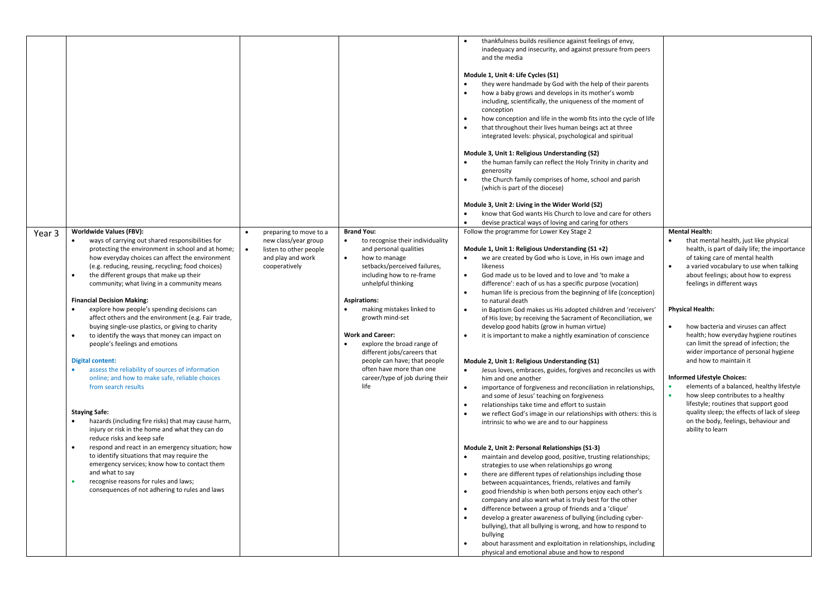|        |                                                                                                                                                                                                                                                                                                                                                                                                                                                                                                                                                                                                                                                                                                                                                                                                                                                                                                                                                                                                                                                                                                                                                                                                                                                |                                                                                                                |                                                                                                                                                                                                                                                                                                                                                                                                                                                                        | thankfulness builds resilience against feelings of envy,<br>inadequacy and insecurity, and against pressure from peers<br>and the media<br>Module 1, Unit 4: Life Cycles (S1)<br>they were handmade by God with the help of their parents<br>how a baby grows and develops in its mother's womb<br>including, scientifically, the uniqueness of the moment of<br>conception<br>how conception and life in the womb fits into the cycle of life<br>that throughout their lives human beings act at three<br>integrated levels: physical, psychological and spiritual<br>Module 3, Unit 1: Religious Understanding (S2)<br>the human family can reflect the Holy Trinity in charity and<br>generosity<br>the Church family comprises of home, school and parish<br>(which is part of the diocese)<br>Module 3, Unit 2: Living in the Wider World (S2)<br>know that God wants His Church to love and care for others<br>devise practical ways of loving and caring for others                                                                                                                                                                                                                                                                                                                                                                                                                                                                                                                                                                                                                                                                                                                                                                                                                                                                            |                                                                                                                                                                                                                                                                                                                                                                                                                                                                                                                                                                                                                                                                                                                                                                                       |
|--------|------------------------------------------------------------------------------------------------------------------------------------------------------------------------------------------------------------------------------------------------------------------------------------------------------------------------------------------------------------------------------------------------------------------------------------------------------------------------------------------------------------------------------------------------------------------------------------------------------------------------------------------------------------------------------------------------------------------------------------------------------------------------------------------------------------------------------------------------------------------------------------------------------------------------------------------------------------------------------------------------------------------------------------------------------------------------------------------------------------------------------------------------------------------------------------------------------------------------------------------------|----------------------------------------------------------------------------------------------------------------|------------------------------------------------------------------------------------------------------------------------------------------------------------------------------------------------------------------------------------------------------------------------------------------------------------------------------------------------------------------------------------------------------------------------------------------------------------------------|-------------------------------------------------------------------------------------------------------------------------------------------------------------------------------------------------------------------------------------------------------------------------------------------------------------------------------------------------------------------------------------------------------------------------------------------------------------------------------------------------------------------------------------------------------------------------------------------------------------------------------------------------------------------------------------------------------------------------------------------------------------------------------------------------------------------------------------------------------------------------------------------------------------------------------------------------------------------------------------------------------------------------------------------------------------------------------------------------------------------------------------------------------------------------------------------------------------------------------------------------------------------------------------------------------------------------------------------------------------------------------------------------------------------------------------------------------------------------------------------------------------------------------------------------------------------------------------------------------------------------------------------------------------------------------------------------------------------------------------------------------------------------------------------------------------------------------------------------------|---------------------------------------------------------------------------------------------------------------------------------------------------------------------------------------------------------------------------------------------------------------------------------------------------------------------------------------------------------------------------------------------------------------------------------------------------------------------------------------------------------------------------------------------------------------------------------------------------------------------------------------------------------------------------------------------------------------------------------------------------------------------------------------|
| Year 3 | <b>Worldwide Values (FBV):</b><br>ways of carrying out shared responsibilities for<br>protecting the environment in school and at home;<br>how everyday choices can affect the environment<br>(e.g. reducing, reusing, recycling; food choices)<br>the different groups that make up their<br>community; what living in a community means<br><b>Financial Decision Making:</b><br>explore how people's spending decisions can<br>affect others and the environment (e.g. Fair trade,<br>buying single-use plastics, or giving to charity<br>to identify the ways that money can impact on<br>$\bullet$<br>people's feelings and emotions<br><b>Digital content:</b><br>assess the reliability of sources of information<br>online; and how to make safe, reliable choices<br>from search results<br><b>Staying Safe:</b><br>hazards (including fire risks) that may cause harm,<br>injury or risk in the home and what they can do<br>reduce risks and keep safe<br>respond and react in an emergency situation; how<br>$\bullet$<br>to identify situations that may require the<br>emergency services; know how to contact them<br>and what to say<br>recognise reasons for rules and laws;<br>consequences of not adhering to rules and laws | preparing to move to a<br>new class/year group<br>listen to other people<br>and play and work<br>cooperatively | <b>Brand You:</b><br>to recognise their individuality<br>and personal qualities<br>how to manage<br>$\bullet$<br>setbacks/perceived failures,<br>including how to re-frame<br>unhelpful thinking<br><b>Aspirations:</b><br>making mistakes linked to<br>growth mind-set<br><b>Work and Career:</b><br>explore the broad range of<br>different jobs/careers that<br>people can have; that people<br>often have more than one<br>career/type of job during their<br>life | Follow the programme for Lower Key Stage 2<br>Module 1, Unit 1: Religious Understanding (S1 +2)<br>we are created by God who is Love, in His own image and<br>likeness<br>God made us to be loved and to love and 'to make a<br>$\bullet$<br>difference': each of us has a specific purpose (vocation)<br>human life is precious from the beginning of life (conception)<br>$\bullet$<br>to natural death<br>in Baptism God makes us His adopted children and 'receivers'<br>of His love; by receiving the Sacrament of Reconciliation, we<br>develop good habits (grow in human virtue)<br>it is important to make a nightly examination of conscience<br>Module 2, Unit 1: Religious Understanding (S1)<br>Jesus loves, embraces, guides, forgives and reconciles us with<br>$\bullet$<br>him and one another<br>importance of forgiveness and reconciliation in relationships,<br>$\bullet$<br>and some of Jesus' teaching on forgiveness<br>relationships take time and effort to sustain<br>we reflect God's image in our relationships with others: this is<br>intrinsic to who we are and to our happiness<br>Module 2, Unit 2: Personal Relationships (S1-3)<br>maintain and develop good, positive, trusting relationships;<br>strategies to use when relationships go wrong<br>there are different types of relationships including those<br>between acquaintances, friends, relatives and family<br>good friendship is when both persons enjoy each other's<br>company and also want what is truly best for the other<br>difference between a group of friends and a 'clique'<br>develop a greater awareness of bullying (including cyber-<br>bullying), that all bullying is wrong, and how to respond to<br>bullying<br>about harassment and exploitation in relationships, including<br>physical and emotional abuse and how to respond | <b>Mental Health:</b><br>that mental health, just like physical<br>health, is part of daily life; the importance<br>of taking care of mental health<br>a varied vocabulary to use when talking<br>about feelings; about how to express<br>feelings in different ways<br><b>Physical Health:</b><br>how bacteria and viruses can affect<br>health; how everyday hygiene routines<br>can limit the spread of infection; the<br>wider importance of personal hygiene<br>and how to maintain it<br><b>Informed Lifestyle Choices:</b><br>elements of a balanced, healthy lifestyle<br>how sleep contributes to a healthy<br>$\bullet$<br>lifestyle; routines that support good<br>quality sleep; the effects of lack of sleep<br>on the body, feelings, behaviour and<br>ability to learn |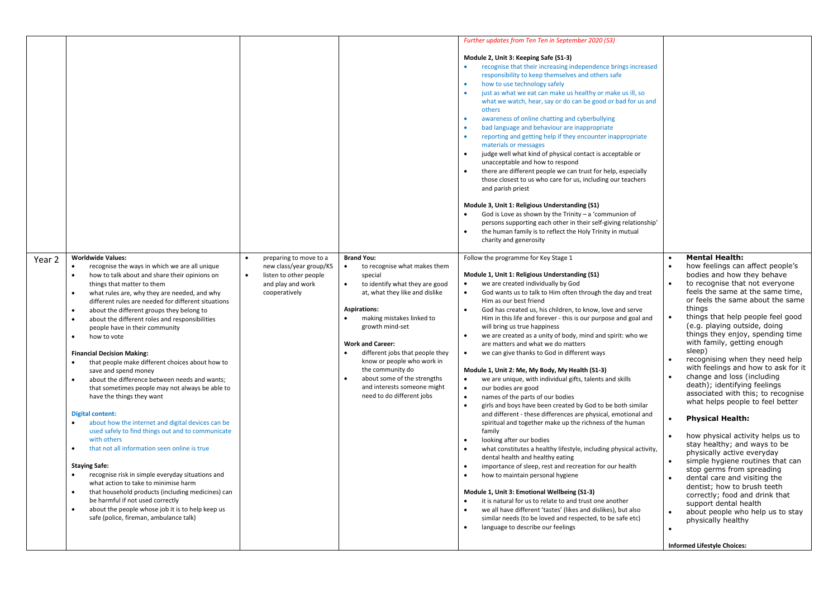|        |                                                                                                                                                                                                                                                                                                                                                                                                                                                                                                                                                                                                                                                                                                                                                                                                                                                                                                                                                                                                                                                                                                                                                                                                           |                                                                                                                                |                                                                                                                                                                                                                                                                                                                                                                                                                                 | <b>Further updates from Ten Ten in September 2020 (S3)</b>                                                                                                                                                                                                                                                                                                                                                                                                                                                                                                                                                                                                                                                                                                                                                                                                                                                                                                                                                                                                                                                                                                                                                                                                                                                                                                                                                                                                           |                                                                                                                                                                                                                                                                                                                                                                                                                                                                                                                                                                                                                                                                                                                                                                                                                                                                                                                                                                                                                                                                           |
|--------|-----------------------------------------------------------------------------------------------------------------------------------------------------------------------------------------------------------------------------------------------------------------------------------------------------------------------------------------------------------------------------------------------------------------------------------------------------------------------------------------------------------------------------------------------------------------------------------------------------------------------------------------------------------------------------------------------------------------------------------------------------------------------------------------------------------------------------------------------------------------------------------------------------------------------------------------------------------------------------------------------------------------------------------------------------------------------------------------------------------------------------------------------------------------------------------------------------------|--------------------------------------------------------------------------------------------------------------------------------|---------------------------------------------------------------------------------------------------------------------------------------------------------------------------------------------------------------------------------------------------------------------------------------------------------------------------------------------------------------------------------------------------------------------------------|----------------------------------------------------------------------------------------------------------------------------------------------------------------------------------------------------------------------------------------------------------------------------------------------------------------------------------------------------------------------------------------------------------------------------------------------------------------------------------------------------------------------------------------------------------------------------------------------------------------------------------------------------------------------------------------------------------------------------------------------------------------------------------------------------------------------------------------------------------------------------------------------------------------------------------------------------------------------------------------------------------------------------------------------------------------------------------------------------------------------------------------------------------------------------------------------------------------------------------------------------------------------------------------------------------------------------------------------------------------------------------------------------------------------------------------------------------------------|---------------------------------------------------------------------------------------------------------------------------------------------------------------------------------------------------------------------------------------------------------------------------------------------------------------------------------------------------------------------------------------------------------------------------------------------------------------------------------------------------------------------------------------------------------------------------------------------------------------------------------------------------------------------------------------------------------------------------------------------------------------------------------------------------------------------------------------------------------------------------------------------------------------------------------------------------------------------------------------------------------------------------------------------------------------------------|
|        |                                                                                                                                                                                                                                                                                                                                                                                                                                                                                                                                                                                                                                                                                                                                                                                                                                                                                                                                                                                                                                                                                                                                                                                                           |                                                                                                                                |                                                                                                                                                                                                                                                                                                                                                                                                                                 | Module 2, Unit 3: Keeping Safe (S1-3)<br>recognise that their increasing independence brings increased<br>$\bullet$<br>responsibility to keep themselves and others safe<br>how to use technology safely<br>just as what we eat can make us healthy or make us ill, so<br>what we watch, hear, say or do can be good or bad for us and<br>others<br>awareness of online chatting and cyberbullying<br>$\bullet$<br>bad language and behaviour are inappropriate<br>reporting and getting help if they encounter inappropriate<br>materials or messages<br>judge well what kind of physical contact is acceptable or<br>$\bullet$<br>unacceptable and how to respond<br>there are different people we can trust for help, especially<br>those closest to us who care for us, including our teachers<br>and parish priest<br>Module 3, Unit 1: Religious Understanding (S1)<br>God is Love as shown by the Trinity $-$ a 'communion of<br>persons supporting each other in their self-giving relationship'<br>the human family is to reflect the Holy Trinity in mutual<br>charity and generosity                                                                                                                                                                                                                                                                                                                                                                      |                                                                                                                                                                                                                                                                                                                                                                                                                                                                                                                                                                                                                                                                                                                                                                                                                                                                                                                                                                                                                                                                           |
| Year 2 | <b>Worldwide Values:</b><br>recognise the ways in which we are all unique<br>how to talk about and share their opinions on<br>things that matter to them<br>what rules are, why they are needed, and why<br>different rules are needed for different situations<br>about the different groups they belong to<br>about the different roles and responsibilities<br>$\bullet$<br>people have in their community<br>how to vote<br>$\bullet$<br><b>Financial Decision Making:</b><br>that people make different choices about how to<br>save and spend money<br>about the difference between needs and wants;<br>that sometimes people may not always be able to<br>have the things they want<br><b>Digital content:</b><br>about how the internet and digital devices can be<br>used safely to find things out and to communicate<br>with others<br>that not all information seen online is true<br><b>Staying Safe:</b><br>recognise risk in simple everyday situations and<br>what action to take to minimise harm<br>that household products (including medicines) can<br>be harmful if not used correctly<br>about the people whose job it is to help keep us<br>safe (police, fireman, ambulance talk) | preparing to move to a<br>new class/year group/KS<br>listen to other people<br>$\bullet$<br>and play and work<br>cooperatively | <b>Brand You:</b><br>to recognise what makes them<br>special<br>to identify what they are good<br>at, what they like and dislike<br><b>Aspirations:</b><br>making mistakes linked to<br>growth mind-set<br><b>Work and Career:</b><br>different jobs that people they<br>$\bullet$<br>know or people who work in<br>the community do<br>about some of the strengths<br>and interests someone might<br>need to do different jobs | Follow the programme for Key Stage 1<br>Module 1, Unit 1: Religious Understanding (S1)<br>we are created individually by God<br>God wants us to talk to Him often through the day and treat<br>$\bullet$<br>Him as our best friend<br>God has created us, his children, to know, love and serve<br>Him in this life and forever - this is our purpose and goal and<br>will bring us true happiness<br>we are created as a unity of body, mind and spirit: who we<br>are matters and what we do matters<br>we can give thanks to God in different ways<br>Module 1, Unit 2: Me, My Body, My Health (S1-3)<br>we are unique, with individual gifts, talents and skills<br>$\bullet$<br>our bodies are good<br>names of the parts of our bodies<br>girls and boys have been created by God to be both similar<br>and different - these differences are physical, emotional and<br>spiritual and together make up the richness of the human<br>family<br>looking after our bodies<br>what constitutes a healthy lifestyle, including physical activity,<br>dental health and healthy eating<br>importance of sleep, rest and recreation for our health<br>how to maintain personal hygiene<br>Module 1, Unit 3: Emotional Wellbeing (S1-3)<br>it is natural for us to relate to and trust one another<br>we all have different 'tastes' (likes and dislikes), but also<br>similar needs (to be loved and respected, to be safe etc)<br>language to describe our feelings | <b>Mental Health:</b><br>how feelings can affect people's<br>bodies and how they behave<br>to recognise that not everyone<br>feels the same at the same time,<br>or feels the same about the same<br>things<br>$\bullet$<br>things that help people feel good<br>(e.g. playing outside, doing<br>things they enjoy, spending time<br>with family, getting enough<br>sleep)<br>recognising when they need help<br>$\bullet$<br>with feelings and how to ask for it<br>change and loss (including<br>death); identifying feelings<br>associated with this; to recognise<br>what helps people to feel better<br><b>Physical Health:</b><br>how physical activity helps us to<br>stay healthy; and ways to be<br>physically active everyday<br>simple hygiene routines that can<br>stop germs from spreading<br>dental care and visiting the<br>$\bullet$<br>dentist; how to brush teeth<br>correctly; food and drink that<br>support dental health<br>about people who help us to stay<br>$\bullet$<br>physically healthy<br>$\bullet$<br><b>Informed Lifestyle Choices:</b> |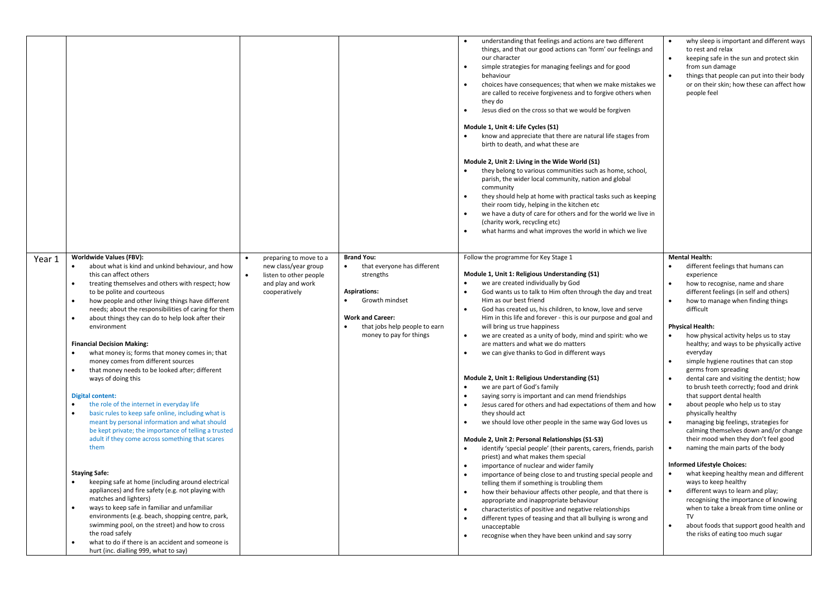|                                                                                                                                                                                                                                                                                                                                                                                                                                                                                                                                                                                                                                                                                                                                                                                                                                                                                                                                                                                                                                                                                                                                                                                                                                                                                                                                                                                                     |                                                                                                                |                                                                                                                                                                                               | understanding that feelings and actions are two different<br>things, and that our good actions can 'form' our feelings and<br>our character<br>$\bullet$<br>simple strategies for managing feelings and for good<br>behaviour<br>choices have consequences; that when we make mistakes we<br>$\bullet$<br>are called to receive forgiveness and to forgive others when<br>they do<br>Jesus died on the cross so that we would be forgiven<br>$\bullet$<br>Module 1, Unit 4: Life Cycles (S1)<br>know and appreciate that there are natural life stages from<br>birth to death, and what these are<br>Module 2, Unit 2: Living in the Wide World (S1)<br>they belong to various communities such as home, school,<br>parish, the wider local community, nation and global<br>community<br>they should help at home with practical tasks such as keeping<br>$\bullet$<br>their room tidy, helping in the kitchen etc<br>we have a duty of care for others and for the world we live in<br>$\bullet$<br>(charity work, recycling etc)<br>what harms and what improves the world in which we live<br>$\bullet$                                                                                                                                                                                                                                                                                                                                                                                                                                                                                                                                                                        | why sleep is important and different ways<br>$\bullet$<br>to rest and relax<br>keeping safe in the sun and protect skin<br>$\bullet$<br>from sun damage<br>things that people can put into their body<br>$\bullet$<br>or on their skin; how these can affect how<br>people feel                                                                                                                                                                                                                                                                                                                                                                                                                                                                                                                                                                                                                                                                                                                                                                                                                                                                                                                           |
|-----------------------------------------------------------------------------------------------------------------------------------------------------------------------------------------------------------------------------------------------------------------------------------------------------------------------------------------------------------------------------------------------------------------------------------------------------------------------------------------------------------------------------------------------------------------------------------------------------------------------------------------------------------------------------------------------------------------------------------------------------------------------------------------------------------------------------------------------------------------------------------------------------------------------------------------------------------------------------------------------------------------------------------------------------------------------------------------------------------------------------------------------------------------------------------------------------------------------------------------------------------------------------------------------------------------------------------------------------------------------------------------------------|----------------------------------------------------------------------------------------------------------------|-----------------------------------------------------------------------------------------------------------------------------------------------------------------------------------------------|-----------------------------------------------------------------------------------------------------------------------------------------------------------------------------------------------------------------------------------------------------------------------------------------------------------------------------------------------------------------------------------------------------------------------------------------------------------------------------------------------------------------------------------------------------------------------------------------------------------------------------------------------------------------------------------------------------------------------------------------------------------------------------------------------------------------------------------------------------------------------------------------------------------------------------------------------------------------------------------------------------------------------------------------------------------------------------------------------------------------------------------------------------------------------------------------------------------------------------------------------------------------------------------------------------------------------------------------------------------------------------------------------------------------------------------------------------------------------------------------------------------------------------------------------------------------------------------------------------------------------------------------------------------------------------------|-----------------------------------------------------------------------------------------------------------------------------------------------------------------------------------------------------------------------------------------------------------------------------------------------------------------------------------------------------------------------------------------------------------------------------------------------------------------------------------------------------------------------------------------------------------------------------------------------------------------------------------------------------------------------------------------------------------------------------------------------------------------------------------------------------------------------------------------------------------------------------------------------------------------------------------------------------------------------------------------------------------------------------------------------------------------------------------------------------------------------------------------------------------------------------------------------------------|
| Worldwide Values (FBV):<br>Year 1<br>about what is kind and unkind behaviour, and how<br>this can affect others<br>treating themselves and others with respect; how<br>$\bullet$<br>to be polite and courteous<br>how people and other living things have different<br>$\bullet$<br>needs; about the responsibilities of caring for them<br>about things they can do to help look after their<br>environment<br><b>Financial Decision Making:</b><br>what money is; forms that money comes in; that<br>money comes from different sources<br>that money needs to be looked after; different<br>$\bullet$<br>ways of doing this<br>Digital content:<br>the role of the internet in everyday life<br>basic rules to keep safe online, including what is<br>$\bullet$<br>meant by personal information and what should<br>be kept private; the importance of telling a trusted<br>adult if they come across something that scares<br>them<br><b>Staying Safe:</b><br>keeping safe at home (including around electrical<br>appliances) and fire safety (e.g. not playing with<br>matches and lighters)<br>ways to keep safe in familiar and unfamiliar<br>$\bullet$<br>environments (e.g. beach, shopping centre, park,<br>swimming pool, on the street) and how to cross<br>the road safely<br>what to do if there is an accident and someone is<br>$\bullet$<br>hurt (inc. dialling 999, what to say) | preparing to move to a<br>new class/year group<br>listen to other people<br>and play and work<br>cooperatively | <b>Brand You:</b><br>that everyone has different<br>strengths<br><b>Aspirations:</b><br>Growth mindset<br><b>Work and Career:</b><br>that jobs help people to earn<br>money to pay for things | Follow the programme for Key Stage 1<br>Module 1, Unit 1: Religious Understanding (S1)<br>$\bullet$<br>we are created individually by God<br>$\bullet$<br>God wants us to talk to Him often through the day and treat<br>Him as our best friend<br>God has created us, his children, to know, love and serve<br>$\bullet$<br>Him in this life and forever - this is our purpose and goal and<br>will bring us true happiness<br>we are created as a unity of body, mind and spirit: who we<br>$\bullet$<br>are matters and what we do matters<br>we can give thanks to God in different ways<br>$\bullet$<br>Module 2, Unit 1: Religious Understanding (S1)<br>we are part of God's family<br>$\bullet$<br>$\bullet$<br>saying sorry is important and can mend friendships<br>$\bullet$<br>Jesus cared for others and had expectations of them and how<br>they should act<br>we should love other people in the same way God loves us<br>$\bullet$<br>Module 2, Unit 2: Personal Relationships (S1-S3)<br>$\bullet$<br>identify 'special people' (their parents, carers, friends, parish<br>priest) and what makes them special<br>importance of nuclear and wider family<br>$\bullet$<br>$\bullet$<br>importance of being close to and trusting special people and<br>telling them if something is troubling them<br>how their behaviour affects other people, and that there is<br>$\bullet$<br>appropriate and inappropriate behaviour<br>characteristics of positive and negative relationships<br>$\bullet$<br>different types of teasing and that all bullying is wrong and<br>$\bullet$<br>unacceptable<br>recognise when they have been unkind and say sorry<br>$\bullet$ | <b>Mental Health:</b><br>different feelings that humans can<br>experience<br>how to recognise, name and share<br>different feelings (in self and others)<br>how to manage when finding things<br>$\bullet$<br>difficult<br><b>Physical Health:</b><br>$\bullet$<br>how physical activity helps us to stay<br>healthy; and ways to be physically active<br>everyday<br>simple hygiene routines that can stop<br>germs from spreading<br>dental care and visiting the dentist; how<br>$\bullet$<br>to brush teeth correctly; food and drink<br>that support dental health<br>$\bullet$<br>about people who help us to stay<br>physically healthy<br>managing big feelings, strategies for<br>$\bullet$<br>calming themselves down and/or change<br>their mood when they don't feel good<br>naming the main parts of the body<br>$\bullet$<br><b>Informed Lifestyle Choices:</b><br>what keeping healthy mean and different<br>$\bullet$<br>ways to keep healthy<br>different ways to learn and play;<br>$\bullet$<br>recognising the importance of knowing<br>when to take a break from time online or<br>TV<br>about foods that support good health and<br>$\bullet$<br>the risks of eating too much sugar |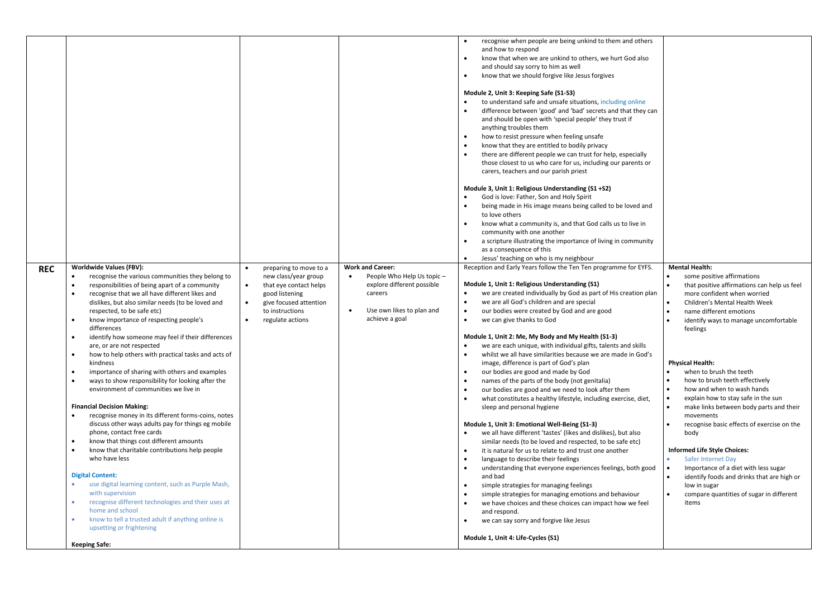| <b>REC</b> | <b>Worldwide Values (FBV):</b><br>recognise the various communities they belong to<br>$\bullet$<br>responsibilities of being apart of a community                                                                                                                                                                                                                                                                                                                                                                                                                                                                                                                                                                                                                                                                                                                                                                                                                                                                                                                                                                                                                                | preparing to move to a<br>new class/year group<br>that eye contact helps<br>$\bullet$                     | <b>Work and Career:</b><br>People Who Help Us topic -<br>$\bullet$<br>explore different possible | recognise when people are being unkind to them and others<br>and how to respond<br>know that when we are unkind to others, we hurt God also<br>$\bullet$<br>and should say sorry to him as well<br>know that we should forgive like Jesus forgives<br>$\bullet$<br>Module 2, Unit 3: Keeping Safe (S1-S3)<br>$\bullet$<br>to understand safe and unsafe situations, including online<br>difference between 'good' and 'bad' secrets and that they can<br>$\bullet$<br>and should be open with 'special people' they trust if<br>anything troubles them<br>how to resist pressure when feeling unsafe<br>$\bullet$<br>$\bullet$<br>know that they are entitled to bodily privacy<br>$\bullet$<br>there are different people we can trust for help, especially<br>those closest to us who care for us, including our parents or<br>carers, teachers and our parish priest<br>Module 3, Unit 1: Religious Understanding (S1 +S2)<br>$\bullet$<br>God is love: Father, Son and Holy Spirit<br>being made in His image means being called to be loved and<br>$\bullet$<br>to love others<br>$\bullet$<br>know what a community is, and that God calls us to live in<br>community with one another<br>a scripture illustrating the importance of living in community<br>$\bullet$<br>as a consequence of this<br>Jesus' teaching on who is my neighbour<br>Reception and Early Years follow the Ten Ten programme for EYFS.<br>Module 1, Unit 1: Religious Understanding (S1)                                                             | <b>Mental Health:</b><br>some positive affirmations<br>that positive affirmations can help us feel                                                                                                                                                                                                                                                                                                                                                                                                                                                                                                                                                                        |
|------------|----------------------------------------------------------------------------------------------------------------------------------------------------------------------------------------------------------------------------------------------------------------------------------------------------------------------------------------------------------------------------------------------------------------------------------------------------------------------------------------------------------------------------------------------------------------------------------------------------------------------------------------------------------------------------------------------------------------------------------------------------------------------------------------------------------------------------------------------------------------------------------------------------------------------------------------------------------------------------------------------------------------------------------------------------------------------------------------------------------------------------------------------------------------------------------|-----------------------------------------------------------------------------------------------------------|--------------------------------------------------------------------------------------------------|-------------------------------------------------------------------------------------------------------------------------------------------------------------------------------------------------------------------------------------------------------------------------------------------------------------------------------------------------------------------------------------------------------------------------------------------------------------------------------------------------------------------------------------------------------------------------------------------------------------------------------------------------------------------------------------------------------------------------------------------------------------------------------------------------------------------------------------------------------------------------------------------------------------------------------------------------------------------------------------------------------------------------------------------------------------------------------------------------------------------------------------------------------------------------------------------------------------------------------------------------------------------------------------------------------------------------------------------------------------------------------------------------------------------------------------------------------------------------------------------------------------------------------------|---------------------------------------------------------------------------------------------------------------------------------------------------------------------------------------------------------------------------------------------------------------------------------------------------------------------------------------------------------------------------------------------------------------------------------------------------------------------------------------------------------------------------------------------------------------------------------------------------------------------------------------------------------------------------|
|            | $\bullet$<br>recognise that we all have different likes and<br>dislikes, but also similar needs (to be loved and<br>respected, to be safe etc)<br>know importance of respecting people's<br>$\bullet$<br>differences<br>identify how someone may feel if their differences<br>$\bullet$<br>are, or are not respected<br>how to help others with practical tasks and acts of<br>$\bullet$<br>kindness<br>importance of sharing with others and examples<br>$\bullet$<br>$\bullet$<br>ways to show responsibility for looking after the<br>environment of communities we live in<br><b>Financial Decision Making:</b><br>recognise money in its different forms-coins, notes<br>discuss other ways adults pay for things eg mobile<br>phone, contact free cards<br>know that things cost different amounts<br>$\bullet$<br>know that charitable contributions help people<br>who have less<br><b>Digital Content:</b><br>use digital learning content, such as Purple Mash,<br>with supervision<br>recognise different technologies and their uses at<br>home and school<br>know to tell a trusted adult if anything online is<br>upsetting or frightening<br><b>Keeping Safe:</b> | good listening<br>give focused attention<br>$\bullet$<br>to instructions<br>$\bullet$<br>regulate actions | careers<br>Use own likes to plan and<br>$\bullet$<br>achieve a goal                              | we are created individually by God as part of His creation plan<br>$\bullet$<br>$\bullet$<br>we are all God's children and are special<br>our bodies were created by God and are good<br>$\bullet$<br>$\bullet$<br>we can give thanks to God<br>Module 1, Unit 2: Me, My Body and My Health (S1-3)<br>we are each unique, with individual gifts, talents and skills<br>$\bullet$<br>whilst we all have similarities because we are made in God's<br>image, difference is part of God's plan<br>$\bullet$<br>our bodies are good and made by God<br>$\bullet$<br>names of the parts of the body (not genitalia)<br>$\bullet$<br>our bodies are good and we need to look after them<br>$\bullet$<br>what constitutes a healthy lifestyle, including exercise, diet,<br>sleep and personal hygiene<br>Module 1, Unit 3: Emotional Well-Being (S1-3)<br>$\bullet$<br>we all have different 'tastes' (likes and dislikes), but also<br>similar needs (to be loved and respected, to be safe etc)<br>it is natural for us to relate to and trust one another<br>$\bullet$<br>$\bullet$<br>language to describe their feelings<br>$\bullet$<br>understanding that everyone experiences feelings, both good<br>and bad<br>simple strategies for managing feelings<br>$\bullet$<br>$\bullet$<br>simple strategies for managing emotions and behaviour<br>$\bullet$<br>we have choices and these choices can impact how we feel<br>and respond.<br>$\bullet$<br>we can say sorry and forgive like Jesus<br>Module 1, Unit 4: Life-Cycles (S1) | more confident when worried<br>Children's Mental Health Week<br>name different emotions<br>identify ways to manage uncomfortable<br>feelings<br><b>Physical Health:</b><br>when to brush the teeth<br>how to brush teeth effectively<br>how and when to wash hands<br>$\bullet$<br>explain how to stay safe in the sun<br>make links between body parts and their<br>movements<br>recognise basic effects of exercise on the<br>body<br><b>Informed Life Style Choices:</b><br>Safer Internet Day<br>Importance of a diet with less sugar<br>$\bullet$<br>identify foods and drinks that are high or<br>low in sugar<br>compare quantities of sugar in different<br>items |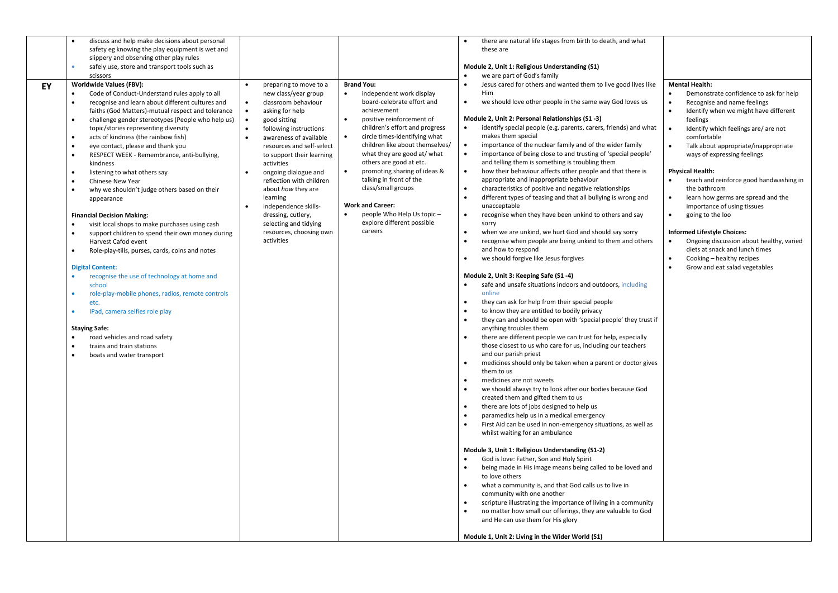|    | discuss and help make decisions about personal                                                                                                                                                                                                                                                                 |                                                                                                                                                                                                              |                                                                                                                                                                                                                                                                  | there are natural life stages from birth to death, and what                                                                                                                                                                                                                                                                                                                                                                                                                                                                                                                                                                                                                                                                                                                                                                                                                                                                                                                                                                                                                                                                                                                                                                                                                                                                                                                                                                            |                                                                                                                                                                                                                                                                                      |
|----|----------------------------------------------------------------------------------------------------------------------------------------------------------------------------------------------------------------------------------------------------------------------------------------------------------------|--------------------------------------------------------------------------------------------------------------------------------------------------------------------------------------------------------------|------------------------------------------------------------------------------------------------------------------------------------------------------------------------------------------------------------------------------------------------------------------|----------------------------------------------------------------------------------------------------------------------------------------------------------------------------------------------------------------------------------------------------------------------------------------------------------------------------------------------------------------------------------------------------------------------------------------------------------------------------------------------------------------------------------------------------------------------------------------------------------------------------------------------------------------------------------------------------------------------------------------------------------------------------------------------------------------------------------------------------------------------------------------------------------------------------------------------------------------------------------------------------------------------------------------------------------------------------------------------------------------------------------------------------------------------------------------------------------------------------------------------------------------------------------------------------------------------------------------------------------------------------------------------------------------------------------------|--------------------------------------------------------------------------------------------------------------------------------------------------------------------------------------------------------------------------------------------------------------------------------------|
|    | safety eg knowing the play equipment is wet and                                                                                                                                                                                                                                                                |                                                                                                                                                                                                              |                                                                                                                                                                                                                                                                  | these are                                                                                                                                                                                                                                                                                                                                                                                                                                                                                                                                                                                                                                                                                                                                                                                                                                                                                                                                                                                                                                                                                                                                                                                                                                                                                                                                                                                                                              |                                                                                                                                                                                                                                                                                      |
|    | slippery and observing other play rules                                                                                                                                                                                                                                                                        |                                                                                                                                                                                                              |                                                                                                                                                                                                                                                                  |                                                                                                                                                                                                                                                                                                                                                                                                                                                                                                                                                                                                                                                                                                                                                                                                                                                                                                                                                                                                                                                                                                                                                                                                                                                                                                                                                                                                                                        |                                                                                                                                                                                                                                                                                      |
|    | safely use, store and transport tools such as<br>scissors                                                                                                                                                                                                                                                      |                                                                                                                                                                                                              |                                                                                                                                                                                                                                                                  | Module 2, Unit 1: Religious Understanding (S1)<br>we are part of God's family                                                                                                                                                                                                                                                                                                                                                                                                                                                                                                                                                                                                                                                                                                                                                                                                                                                                                                                                                                                                                                                                                                                                                                                                                                                                                                                                                          |                                                                                                                                                                                                                                                                                      |
| EY | <b>Worldwide Values (FBV):</b><br>Code of Conduct-Understand rules apply to all<br>recognise and learn about different cultures and<br>faiths (God Matters)-mutual respect and tolerance<br>challenge gender stereotypes (People who help us)<br>topic/stories representing diversity                          | preparing to move to a<br>new class/year group<br>classroom behaviour<br>$\bullet$<br>$\bullet$<br>asking for help<br>$\bullet$<br>good sitting<br>following instructions                                    | <b>Brand You:</b><br>independent work display<br>board-celebrate effort and<br>achievement<br>positive reinforcement of<br>children's effort and progress                                                                                                        | Jesus cared for others and wanted them to live good lives like<br>$\bullet$<br>Him<br>we should love other people in the same way God loves us<br>Module 2, Unit 2: Personal Relationships (S1 -3)<br>identify special people (e.g. parents, carers, friends) and what                                                                                                                                                                                                                                                                                                                                                                                                                                                                                                                                                                                                                                                                                                                                                                                                                                                                                                                                                                                                                                                                                                                                                                 | <b>Mental Health:</b><br>Demonstrate confidence to ask for help<br>$\bullet$<br>Recognise and name feelings<br>$\bullet$<br>Identify when we might have different<br>feelings<br>Identify which feelings are/ are not<br>$\bullet$                                                   |
|    | acts of kindness (the rainbow fish)<br>$\bullet$<br>eye contact, please and thank you<br>RESPECT WEEK - Remembrance, anti-bullying,<br>kindness<br>listening to what others say<br>Chinese New Year<br>$\bullet$<br>why we shouldn't judge others based on their<br>appearance                                 | awareness of available<br>resources and self-select<br>to support their learning<br>activities<br>ongoing dialogue and<br>reflection with children<br>about how they are<br>learning<br>independence skills- | circle times-identifying what<br>$\bullet$<br>children like about themselves/<br>what they are good at/ what<br>others are good at etc.<br>promoting sharing of ideas &<br>$\bullet$<br>talking in front of the<br>class/small groups<br><b>Work and Career:</b> | makes them special<br>importance of the nuclear family and of the wider family<br>$\bullet$<br>importance of being close to and trusting of 'special people'<br>$\bullet$<br>and telling them is something is troubling them<br>how their behaviour affects other people and that there is<br>appropriate and inappropriate behaviour<br>characteristics of positive and negative relationships<br>different types of teasing and that all bullying is wrong and<br>unacceptable                                                                                                                                                                                                                                                                                                                                                                                                                                                                                                                                                                                                                                                                                                                                                                                                                                                                                                                                                       | comfortable<br>Talk about appropriate/inappropriate<br>$\bullet$<br>ways of expressing feelings<br><b>Physical Health:</b><br>teach and reinforce good handwashing in<br>$\bullet$<br>the bathroom<br>learn how germs are spread and the<br>$\bullet$<br>importance of using tissues |
|    | <b>Financial Decision Making:</b><br>visit local shops to make purchases using cash<br>support children to spend their own money during<br>Harvest Cafod event<br>Role-play-tills, purses, cards, coins and notes                                                                                              | dressing, cutlery,<br>selecting and tidying<br>resources, choosing own<br>activities                                                                                                                         | people Who Help Us topic -<br>explore different possible<br>careers                                                                                                                                                                                              | recognise when they have been unkind to others and say<br>$\bullet$<br>sorry<br>when we are unkind, we hurt God and should say sorry<br>$\bullet$<br>$\bullet$<br>recognise when people are being unkind to them and others<br>and how to respond                                                                                                                                                                                                                                                                                                                                                                                                                                                                                                                                                                                                                                                                                                                                                                                                                                                                                                                                                                                                                                                                                                                                                                                      | going to the loo<br>$\bullet$<br><b>Informed Lifestyle Choices:</b><br>Ongoing discussion about healthy, varied<br>$\bullet$<br>diets at snack and lunch times                                                                                                                       |
|    |                                                                                                                                                                                                                                                                                                                |                                                                                                                                                                                                              |                                                                                                                                                                                                                                                                  | we should forgive like Jesus forgives                                                                                                                                                                                                                                                                                                                                                                                                                                                                                                                                                                                                                                                                                                                                                                                                                                                                                                                                                                                                                                                                                                                                                                                                                                                                                                                                                                                                  | Cooking - healthy recipes                                                                                                                                                                                                                                                            |
|    | <b>Digital Content:</b><br>recognise the use of technology at home and<br>$\bullet$<br>school<br>role-play-mobile phones, radios, remote controls<br>etc.<br>IPad, camera selfies role play<br><b>Staying Safe:</b><br>road vehicles and road safety<br>trains and train stations<br>boats and water transport |                                                                                                                                                                                                              |                                                                                                                                                                                                                                                                  | Module 2, Unit 3: Keeping Safe (S1 -4)<br>safe and unsafe situations indoors and outdoors, including<br>online<br>they can ask for help from their special people<br>$\bullet$<br>to know they are entitled to bodily privacy<br>they can and should be open with 'special people' they trust if<br>anything troubles them<br>there are different people we can trust for help, especially<br>those closest to us who care for us, including our teachers<br>and our parish priest<br>medicines should only be taken when a parent or doctor gives<br>$\bullet$<br>them to us<br>medicines are not sweets<br>we should always try to look after our bodies because God<br>created them and gifted them to us<br>there are lots of jobs designed to help us<br>paramedics help us in a medical emergency<br>$\bullet$<br>First Aid can be used in non-emergency situations, as well as<br>whilst waiting for an ambulance<br>Module 3, Unit 1: Religious Understanding (S1-2)<br>God is love: Father, Son and Holy Spirit<br>being made in His image means being called to be loved and<br>to love others<br>what a community is, and that God calls us to live in<br>$\bullet$<br>community with one another<br>scripture illustrating the importance of living in a community<br>no matter how small our offerings, they are valuable to God<br>and He can use them for His glory<br>Module 1, Unit 2: Living in the Wider World (S1) | $\bullet$<br>Grow and eat salad vegetables                                                                                                                                                                                                                                           |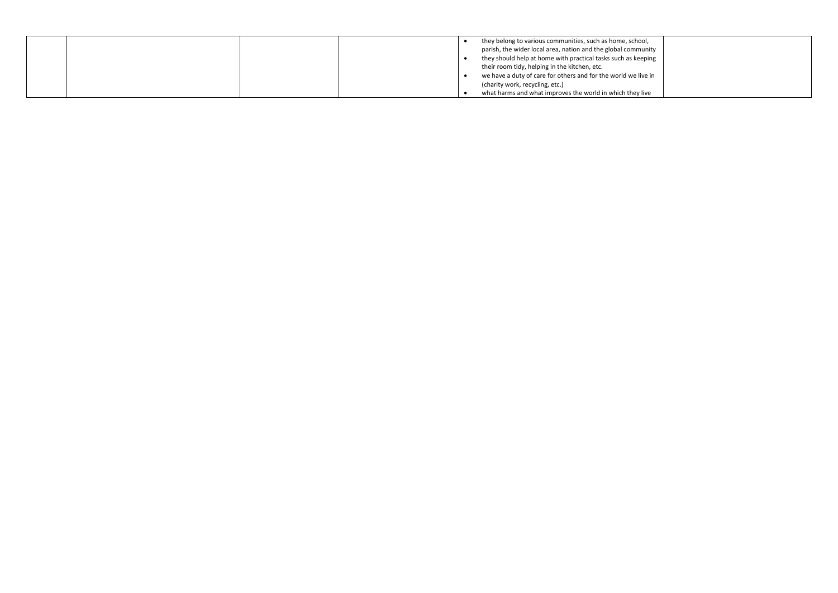|  | they belong to various communities, such as home, school,      |
|--|----------------------------------------------------------------|
|  | parish, the wider local area, nation and the global community  |
|  | they should help at home with practical tasks such as keeping  |
|  | their room tidy, helping in the kitchen, etc.                  |
|  | we have a duty of care for others and for the world we live in |
|  | (charity work, recycling, etc.)                                |
|  | what harms and what improves the world in which they live      |